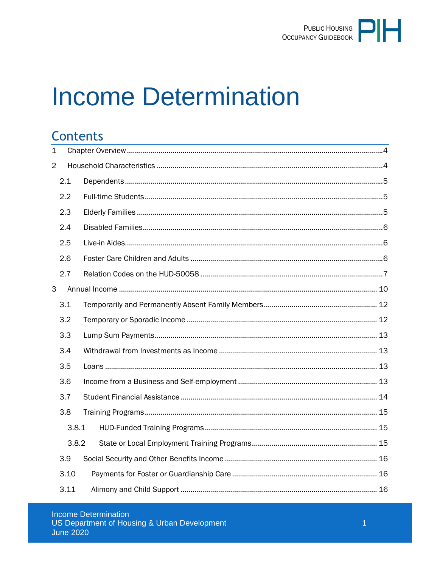

# **Income Determination**

# **Contents**

| $\mathbf 1$    |       |  |  |  |  |
|----------------|-------|--|--|--|--|
| $\overline{2}$ |       |  |  |  |  |
|                | 2.1   |  |  |  |  |
|                | 2.2   |  |  |  |  |
|                | 2.3   |  |  |  |  |
|                | 2.4   |  |  |  |  |
|                | 2.5   |  |  |  |  |
|                | 2.6   |  |  |  |  |
|                | 2.7   |  |  |  |  |
| 3              |       |  |  |  |  |
|                | 3.1   |  |  |  |  |
|                | 3.2   |  |  |  |  |
|                | 3.3   |  |  |  |  |
|                | 3.4   |  |  |  |  |
|                | 3.5   |  |  |  |  |
|                | 3.6   |  |  |  |  |
|                | 3.7   |  |  |  |  |
|                | 3.8   |  |  |  |  |
|                | 3.8.1 |  |  |  |  |
|                | 3.8.2 |  |  |  |  |
|                | 3.9   |  |  |  |  |
|                | 3.10  |  |  |  |  |
|                | 3.11  |  |  |  |  |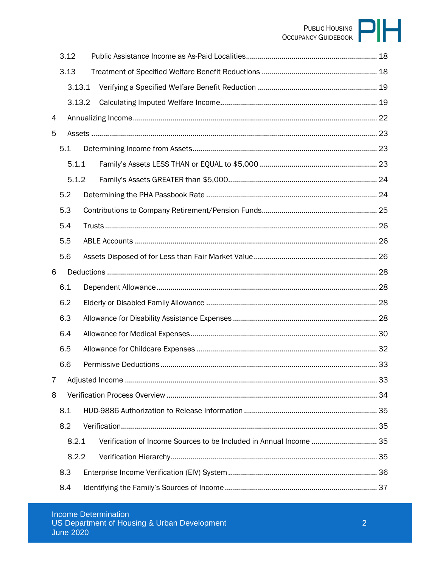# PUBLIC HOUSING

|   | 3.12  |        |  |
|---|-------|--------|--|
|   | 3.13  |        |  |
|   |       | 3.13.1 |  |
|   |       | 3.13.2 |  |
| 4 |       |        |  |
| 5 |       |        |  |
|   | 5.1   |        |  |
|   | 5.1.1 |        |  |
|   | 5.1.2 |        |  |
|   | 5.2   |        |  |
|   | 5.3   |        |  |
|   | 5.4   |        |  |
|   | 5.5   |        |  |
|   | 5.6   |        |  |
| 6 |       |        |  |
|   | 6.1   |        |  |
|   | 6.2   |        |  |
|   | 6.3   |        |  |
|   | 6.4   |        |  |
|   | 6.5   |        |  |
|   | 6.6   |        |  |
| 7 |       |        |  |
| 8 |       |        |  |
|   | 8.1   |        |  |
|   | 8.2   |        |  |
|   | 8.2.1 |        |  |
|   | 8.2.2 |        |  |
|   | 8.3   |        |  |
|   | 8.4   |        |  |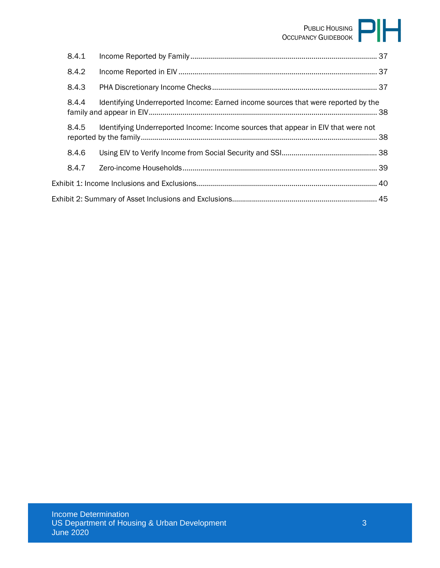# PUBLIC HOUSING OCCUPANCY GUIDEBOOK

| 8.4.1 |                                                                                   |  |  |  |  |
|-------|-----------------------------------------------------------------------------------|--|--|--|--|
| 8.4.2 |                                                                                   |  |  |  |  |
| 8.4.3 |                                                                                   |  |  |  |  |
| 8.4.4 | Identifying Underreported Income: Earned income sources that were reported by the |  |  |  |  |
| 8.4.5 | Identifying Underreported Income: Income sources that appear in EIV that were not |  |  |  |  |
| 8.4.6 |                                                                                   |  |  |  |  |
| 8.4.7 |                                                                                   |  |  |  |  |
|       |                                                                                   |  |  |  |  |
|       |                                                                                   |  |  |  |  |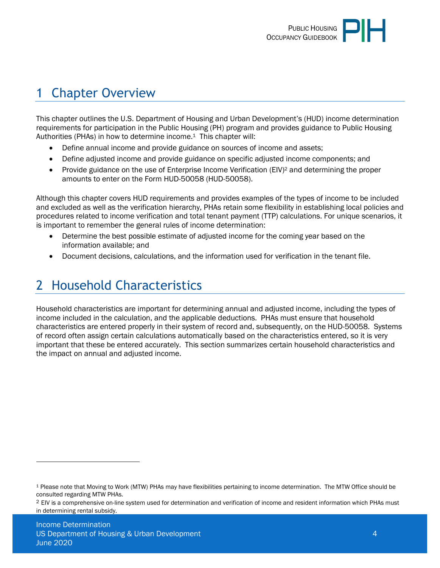# <span id="page-3-0"></span>1 Chapter Overview

This chapter outlines the U.S. Department of Housing and Urban Development's (HUD) income determination requirements for participation in the Public Housing (PH) program and provides guidance to Public Housing Authorities (PHAs) in how to determine income.1 This chapter will:

- Define annual income and provide guidance on sources of income and assets;
- Define adjusted income and provide guidance on specific adjusted income components; and
- Provide guidance on the use of Enterprise Income Verification (EIV)<sup>2</sup> and determining the proper amounts to enter on the Form HUD-50058 (HUD-50058).

Although this chapter covers HUD requirements and provides examples of the types of income to be included and excluded as well as the verification hierarchy, PHAs retain some flexibility in establishing local policies and procedures related to income verification and total tenant payment (TTP) calculations. For unique scenarios, it is important to remember the general rules of income determination:

- Determine the best possible estimate of adjusted income for the coming year based on the information available; and
- <span id="page-3-1"></span>Document decisions, calculations, and the information used for verification in the tenant file.

# 2 Household Characteristics

Household characteristics are important for determining annual and adjusted income, including the types of income included in the calculation, and the applicable deductions. PHAs must ensure that household characteristics are entered properly in their system of record and, subsequently, on the HUD-50058. Systems of record often assign certain calculations automatically based on the characteristics entered, so it is very important that these be entered accurately. This section summarizes certain household characteristics and the impact on annual and adjusted income.

<sup>1</sup> Please note that Moving to Work (MTW) PHAs may have flexibilities pertaining to income determination. The MTW Office should be consulted regarding MTW PHAs.

<sup>&</sup>lt;sup>2</sup> EIV is a comprehensive on-line system used for determination and verification of income and resident information which PHAs must in determining rental subsidy.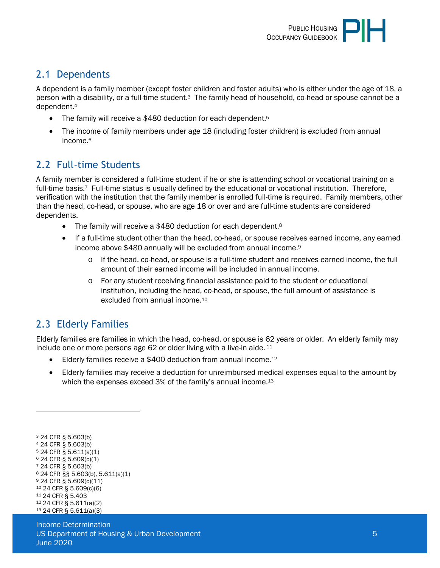# <span id="page-4-0"></span>2.1 Dependents

A dependent is a family member (except foster children and foster adults) who is either under the age of 18, a person with a disability, or a full-time student.3 The family head of household, co-head or spouse cannot be a dependent.<sup>4</sup>

- The family will receive a \$480 deduction for each dependent.<sup>5</sup>
- The income of family members under age 18 (including foster children) is excluded from annual income.<sup>6</sup>

# <span id="page-4-1"></span>2.2 Full-time Students

A family member is considered a full-time student if he or she is attending school or vocational training on a full-time basis.<sup>7</sup> Full-time status is usually defined by the educational or vocational institution. Therefore, verification with the institution that the family member is enrolled full-time is required. Family members, other than the head, co-head, or spouse, who are age 18 or over and are full-time students are considered dependents.

- The family will receive a \$480 deduction for each dependent.<sup>8</sup>
- If a full-time student other than the head, co-head, or spouse receives earned income, any earned income above \$480 annually will be excluded from annual income.<sup>9</sup>
	- o If the head, co-head, or spouse is a full-time student and receives earned income, the full amount of their earned income will be included in annual income.
	- o For any student receiving financial assistance paid to the student or educational institution, including the head, co-head, or spouse, the full amount of assistance is excluded from annual income.<sup>10</sup>

# <span id="page-4-2"></span>2.3 Elderly Families

Elderly families are families in which the head, co-head, or spouse is 62 years or older. An elderly family may include one or more persons age 62 or older living with a live-in aide.  $11$ 

- Elderly families receive a \$400 deduction from annual income.<sup>12</sup>
- Elderly families may receive a deduction for unreimbursed medical expenses equal to the amount by which the expenses exceed 3% of the family's annual income.<sup>13</sup>

 24 CFR § 5.603(b) 24 CFR § 5.603(b) 24 CFR § 5.611(a)(1) 24 CFR § 5.609(c)(1) 24 CFR § 5.603(b) 24 CFR §§ 5.603(b), 5.611(a)(1) 24 CFR § 5.609(c)(11) 24 CFR § 5.609(c)(6) 24 CFR § 5.403 24 CFR § 5.611(a)(2) 24 CFR § 5.611(a)(3)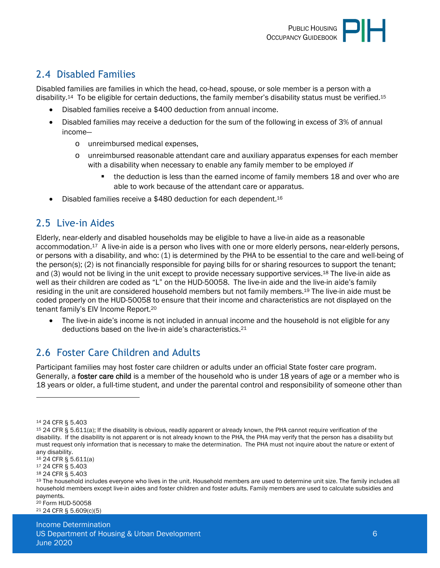

# <span id="page-5-0"></span>2.4 Disabled Families

Disabled families are families in which the head, co-head, spouse, or sole member is a person with a disability.14 To be eligible for certain deductions, the family member's disability status must be verified.<sup>15</sup>

- Disabled families receive a \$400 deduction from annual income.
- Disabled families may receive a deduction for the sum of the following in excess of 3% of annual income
	- o unreimbursed medical expenses,
	- o unreimbursed reasonable attendant care and auxiliary apparatus expenses for each member with a disability when necessary to enable any family member to be employed *if*
		- the deduction is less than the earned income of family members 18 and over who are able to work because of the attendant care or apparatus.
- Disabled families receive a \$480 deduction for each dependent.<sup>16</sup>

## <span id="page-5-1"></span>2.5 Live-in Aides

Elderly, near-elderly and disabled households may be eligible to have a live-in aide as a reasonable accommodation.17 A live-in aide is a person who lives with one or more elderly persons, near-elderly persons, or persons with a disability, and who: (1) is determined by the PHA to be essential to the care and well-being of the person(s); (2) is not financially responsible for paying bills for or sharing resources to support the tenant; and (3) would not be living in the unit except to provide necessary supportive services.18 The live-in aide as well as their children are coded as "L" on the HUD-50058. The live-in aide and the live-in aide's family residing in the unit are considered household members but not family members.19 The live-in aide must be coded properly on the HUD-50058 to ensure that their income and characteristics are not displayed on the tenant family's EIV Income Report.<sup>20</sup>

 The live-in aide's income is not included in annual income and the household is not eligible for any deductions based on the live-in aide's characteristics.<sup>21</sup>

# <span id="page-5-2"></span>2.6 Foster Care Children and Adults

Participant families may host foster care children or adults under an official State foster care program. Generally, a foster care child is a member of the household who is under 18 years of age or a member who is 18 years or older, a full-time student, and under the parental control and responsibility of someone other than

- <sup>16</sup> 24 CFR § 5.611(a)
- <sup>17</sup> 24 CFR § 5.403

<sup>18</sup> 24 CFR § 5.403

<sup>20</sup> Form HUD-50058 21 24 CFR § 5.609(c)(5)

Income Determination US Department of Housing & Urban Development 6 and 6 and 6 and 6 and 6 and 6 and 6 and 6 and 6 and 6 and 6 and 6 and 6 and 6 and 6 and 6 and 6 and 6 and 6 and 6 and 6 and 6 and 6 and 6 and 6 and 6 and 6 and 6 and 6 and 6 a June 2020

<sup>14</sup> 24 CFR § 5.403

<sup>15</sup> 24 CFR § 5.611(a); If the disability is obvious, readily apparent or already known, the PHA cannot require verification of the disability. If the disability is not apparent or is not already known to the PHA, the PHA may verify that the person has a disability but must request only information that is necessary to make the determination. The PHA must not inquire about the nature or extent of any disability.

<sup>&</sup>lt;sup>19</sup> The household includes everyone who lives in the unit. Household members are used to determine unit size. The family includes all household members except live-in aides and foster children and foster adults. Family members are used to calculate subsidies and payments.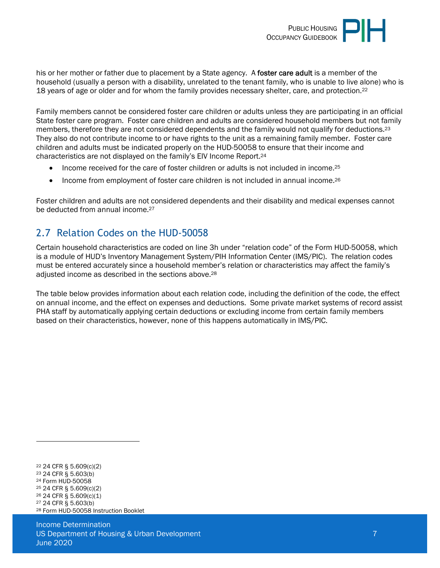

his or her mother or father due to placement by a State agency. A foster care adult is a member of the household (usually a person with a disability, unrelated to the tenant family, who is unable to live alone) who is 18 years of age or older and for whom the family provides necessary shelter, care, and protection.<sup>22</sup>

Family members cannot be considered foster care children or adults unless they are participating in an official State foster care program. Foster care children and adults are considered household members but not family members, therefore they are not considered dependents and the family would not qualify for deductions.<sup>23</sup> They also do not contribute income to or have rights to the unit as a remaining family member. Foster care children and adults must be indicated properly on the HUD-50058 to ensure that their income and characteristics are not displayed on the family's EIV Income Report.<sup>24</sup>

- Income received for the care of foster children or adults is not included in income.<sup>25</sup>
- Income from employment of foster care children is not included in annual income.<sup>26</sup>

Foster children and adults are not considered dependents and their disability and medical expenses cannot be deducted from annual income.<sup>27</sup>

# <span id="page-6-0"></span>2.7 Relation Codes on the HUD-50058

Certain household characteristics are coded on line 3h under "relation code" of the Form HUD-50058, which is a module of HUD's Inventory Management System/PIH Information Center (IMS/PIC). The relation codes must be entered accurately since a household member's relation or characteristics may affect the family's adjusted income as described in the sections above.<sup>28</sup>

The table below provides information about each relation code, including the definition of the code, the effect on annual income, and the effect on expenses and deductions. Some private market systems of record assist PHA staff by automatically applying certain deductions or excluding income from certain family members based on their characteristics, however, none of this happens automatically in IMS/PIC.

 24 CFR § 5.609(c)(2) 24 CFR § 5.603(b) Form HUD-50058 24 CFR § 5.609(c)(2) 24 CFR § 5.609(c)(1) 24 CFR § 5.603(b) Form HUD-50058 Instruction Booklet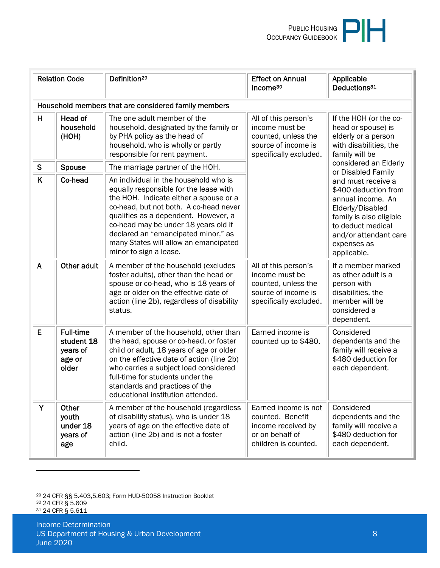| <b>Relation Code</b> |                                                               | Definition <sup>29</sup>                                                                                                                                                                                                                                                                                                                                      | <b>Effect on Annual</b><br>Income <sup>30</sup>                                                                | Applicable<br>Deductions <sup>31</sup>                                                                                                                                                     |  |
|----------------------|---------------------------------------------------------------|---------------------------------------------------------------------------------------------------------------------------------------------------------------------------------------------------------------------------------------------------------------------------------------------------------------------------------------------------------------|----------------------------------------------------------------------------------------------------------------|--------------------------------------------------------------------------------------------------------------------------------------------------------------------------------------------|--|
|                      |                                                               | Household members that are considered family members                                                                                                                                                                                                                                                                                                          |                                                                                                                |                                                                                                                                                                                            |  |
| H                    | <b>Head of</b><br>household<br>(HOH)                          | The one adult member of the<br>household, designated by the family or<br>by PHA policy as the head of<br>household, who is wholly or partly<br>responsible for rent payment.                                                                                                                                                                                  | All of this person's<br>income must be<br>counted, unless the<br>source of income is<br>specifically excluded. | If the HOH (or the co-<br>head or spouse) is<br>elderly or a person<br>with disabilities, the<br>family will be                                                                            |  |
| ${\mathsf S}$        | Spouse                                                        | The marriage partner of the HOH.                                                                                                                                                                                                                                                                                                                              |                                                                                                                | considered an Elderly<br>or Disabled Family                                                                                                                                                |  |
| K                    | Co-head                                                       | An individual in the household who is<br>equally responsible for the lease with<br>the HOH. Indicate either a spouse or a<br>co-head, but not both. A co-head never<br>qualifies as a dependent. However, a<br>co-head may be under 18 years old if<br>declared an "emancipated minor," as<br>many States will allow an emancipated<br>minor to sign a lease. |                                                                                                                | and must receive a<br>\$400 deduction from<br>annual income. An<br>Elderly/Disabled<br>family is also eligible<br>to deduct medical<br>and/or attendant care<br>expenses as<br>applicable. |  |
| $\mathsf{A}$         | Other adult                                                   | A member of the household (excludes<br>foster adults), other than the head or<br>spouse or co-head, who is 18 years of<br>age or older on the effective date of<br>action (line 2b), regardless of disability<br>status.                                                                                                                                      | All of this person's<br>income must be<br>counted, unless the<br>source of income is<br>specifically excluded. | If a member marked<br>as other adult is a<br>person with<br>disabilities, the<br>member will be<br>considered a<br>dependent.                                                              |  |
| E                    | <b>Full-time</b><br>student 18<br>years of<br>age or<br>older | A member of the household, other than<br>the head, spouse or co-head, or foster<br>child or adult, 18 years of age or older<br>on the effective date of action (line 2b)<br>who carries a subject load considered<br>full-time for students under the<br>standards and practices of the<br>educational institution attended.                                  | Earned income is<br>counted up to \$480.                                                                       | Considered<br>dependents and the<br>family will receive a<br>\$480 deduction for<br>each dependent.                                                                                        |  |
| Y                    | Other<br>youth<br>under 18<br>years of<br>age                 | A member of the household (regardless<br>of disability status), who is under 18<br>years of age on the effective date of<br>action (line 2b) and is not a foster<br>child.                                                                                                                                                                                    | Earned income is not<br>counted. Benefit<br>income received by<br>or on behalf of<br>children is counted.      | Considered<br>dependents and the<br>family will receive a<br>\$480 deduction for<br>each dependent.                                                                                        |  |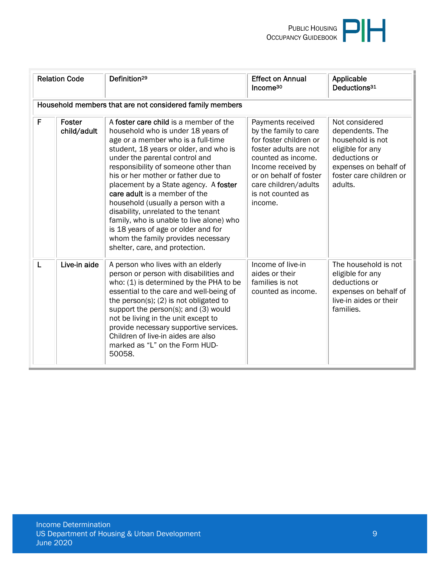| <b>Relation Code</b> |                       | Definition <sup>29</sup>                                                                                                                                                                                                                                                                                                                                                                                                                                                                                                                                                                       | <b>Effect on Annual</b><br>Income <sup>30</sup>                                                                                                                                                                             | Applicable<br>Deductions <sup>31</sup>                                                                                                                    |
|----------------------|-----------------------|------------------------------------------------------------------------------------------------------------------------------------------------------------------------------------------------------------------------------------------------------------------------------------------------------------------------------------------------------------------------------------------------------------------------------------------------------------------------------------------------------------------------------------------------------------------------------------------------|-----------------------------------------------------------------------------------------------------------------------------------------------------------------------------------------------------------------------------|-----------------------------------------------------------------------------------------------------------------------------------------------------------|
|                      |                       | Household members that are not considered family members                                                                                                                                                                                                                                                                                                                                                                                                                                                                                                                                       |                                                                                                                                                                                                                             |                                                                                                                                                           |
| F                    | Foster<br>child/adult | A foster care child is a member of the<br>household who is under 18 years of<br>age or a member who is a full-time<br>student, 18 years or older, and who is<br>under the parental control and<br>responsibility of someone other than<br>his or her mother or father due to<br>placement by a State agency. A foster<br>care adult is a member of the<br>household (usually a person with a<br>disability, unrelated to the tenant<br>family, who is unable to live alone) who<br>is 18 years of age or older and for<br>whom the family provides necessary<br>shelter, care, and protection. | Payments received<br>by the family to care<br>for foster children or<br>foster adults are not<br>counted as income.<br>Income received by<br>or on behalf of foster<br>care children/adults<br>is not counted as<br>income. | Not considered<br>dependents. The<br>household is not<br>eligible for any<br>deductions or<br>expenses on behalf of<br>foster care children or<br>adults. |
| L                    | Live-in aide          | A person who lives with an elderly<br>person or person with disabilities and<br>who: (1) is determined by the PHA to be<br>essential to the care and well-being of<br>the person(s); $(2)$ is not obligated to<br>support the person(s); and (3) would<br>not be living in the unit except to<br>provide necessary supportive services.<br>Children of live-in aides are also<br>marked as "L" on the Form HUD-<br>50058.                                                                                                                                                                      | Income of live-in<br>aides or their<br>families is not<br>counted as income.                                                                                                                                                | The household is not<br>eligible for any<br>deductions or<br>expenses on behalf of<br>live-in aides or their<br>families.                                 |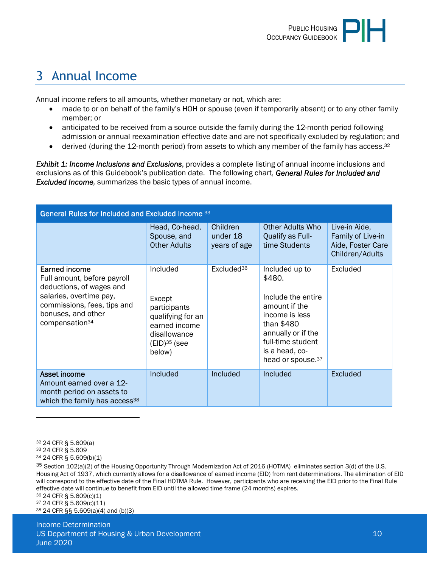

# <span id="page-9-0"></span>3 Annual Income

Annual income refers to all amounts, whether monetary or not, which are:

- made to or on behalf of the family's HOH or spouse (even if temporarily absent) or to any other family member; or
- anticipated to be received from a source outside the family during the 12-month period following admission or annual reexamination effective date and are not specifically excluded by regulation; and
- $\bullet$  derived (during the 12-month period) from assets to which any member of the family has access.<sup>32</sup>

*Exhibit 1: Income Inclusions and Exclusions*, provides a complete listing of annual income inclusions and exclusions as of this Guidebook's publication date. The following chart, *General Rules for Included and Excluded Income,* summarizes the basic types of annual income.

| General Rules for Included and Excluded Income 33                                                                                                                                      |                                                                                                                                  |                                      |                                                                                                                                                                                               |                                                                            |  |  |
|----------------------------------------------------------------------------------------------------------------------------------------------------------------------------------------|----------------------------------------------------------------------------------------------------------------------------------|--------------------------------------|-----------------------------------------------------------------------------------------------------------------------------------------------------------------------------------------------|----------------------------------------------------------------------------|--|--|
|                                                                                                                                                                                        | Head, Co-head,<br>Spouse, and<br><b>Other Adults</b>                                                                             | Children<br>under 18<br>years of age | Other Adults Who<br>Qualify as Full-<br>time Students                                                                                                                                         | Live-in Aide,<br>Family of Live-in<br>Aide, Foster Care<br>Children/Adults |  |  |
| Earned income<br>Full amount, before payroll<br>deductions, of wages and<br>salaries, overtime pay,<br>commissions, fees, tips and<br>bonuses, and other<br>compensation <sup>34</sup> | Included<br>Except<br>participants<br>qualifying for an<br>earned income<br>disallowance<br>$(EID)$ <sup>35</sup> (see<br>below) | Excluded <sup>36</sup>               | Included up to<br>\$480.<br>Include the entire<br>amount if the<br>income is less<br>than \$480<br>annually or if the<br>full-time student<br>is a head, co-<br>head or spouse. <sup>37</sup> | Excluded                                                                   |  |  |
| Asset income<br>Amount earned over a 12-<br>month period on assets to<br>which the family has access <sup>38</sup>                                                                     | Included                                                                                                                         | Included                             | Included                                                                                                                                                                                      | Excluded                                                                   |  |  |

<sup>36</sup> 24 CFR § 5.609(c)(1)

<sup>37</sup> 24 CFR § 5.609(c)(11) 38 24 CFR §§ 5.609(a)(4) and (b)(3)

Income Determination US Department of Housing & Urban Development 10 and 10 and 10 and 10 and 10 and 10 and 10 and 10 and 10 and 10 June 2020

<sup>32</sup> 24 CFR § 5.609(a)

<sup>33</sup> 24 CFR § 5.609

<sup>34</sup> 24 CFR § 5.609(b)(1)

 $35$  Section 102(a)(2) of the Housing Opportunity Through Modernization Act of 2016 (HOTMA) eliminates section 3(d) of the U.S. Housing Act of 1937, which currently allows for a disallowance of earned income (EID) from rent determinations. The elimination of EID will correspond to the effective date of the Final HOTMA Rule. However, participants who are receiving the EID prior to the Final Rule effective date will continue to benefit from EID until the allowed time frame (24 months) expires.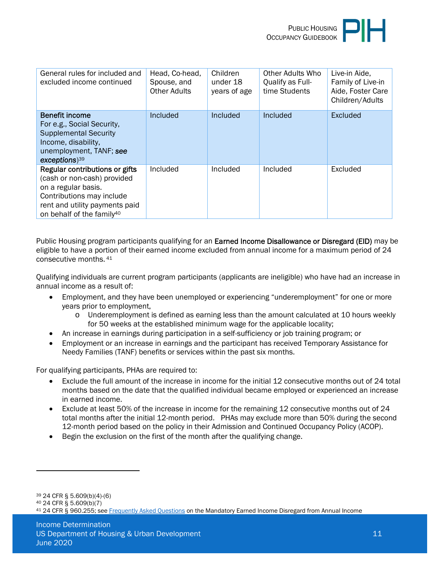

| General rules for included and<br>excluded income continued                                                                                                                                  | Head, Co-head,<br>Spouse, and<br><b>Other Adults</b> | Children<br>under 18<br>years of age | Other Adults Who<br>Qualify as Full-<br>time Students | Live-in Aide,<br>Family of Live-in<br>Aide, Foster Care<br>Children/Adults |
|----------------------------------------------------------------------------------------------------------------------------------------------------------------------------------------------|------------------------------------------------------|--------------------------------------|-------------------------------------------------------|----------------------------------------------------------------------------|
| <b>Benefit income</b><br>For e.g., Social Security,<br><b>Supplemental Security</b><br>Income, disability,<br>unemployment, TANF; see<br>$exceptions$ <sup>39</sup>                          | Included                                             | Included                             | <b>Included</b>                                       | Excluded                                                                   |
| Regular contributions or gifts<br>(cash or non-cash) provided<br>on a regular basis.<br>Contributions may include<br>rent and utility payments paid<br>on behalf of the family <sup>40</sup> | Included                                             | Included                             | Included                                              | Excluded                                                                   |

Public Housing program participants qualifying for an **Earned Income Disallowance or Disregard (EID)** may be eligible to have a portion of their earned income excluded from annual income for a maximum period of 24 consecutive months.<sup>41</sup>

Qualifying individuals are current program participants (applicants are ineligible) who have had an increase in annual income as a result of:

- Employment, and they have been unemployed or experiencing "underemployment" for one or more years prior to employment,
	- o Underemployment is defined as earning less than the amount calculated at 10 hours weekly for 50 weeks at the established minimum wage for the applicable locality;
- An increase in earnings during participation in a self-sufficiency or job training program; or
- Employment or an increase in earnings and the participant has received Temporary Assistance for Needy Families (TANF) benefits or services within the past six months.

For qualifying participants, PHAs are required to:

- Exclude the full amount of the increase in income for the initial 12 consecutive months out of 24 total months based on the date that the qualified individual became employed or experienced an increase in earned income.
- Exclude at least 50% of the increase in income for the remaining 12 consecutive months out of 24 total months after the initial 12-month period. PHAs may exclude more than 50% during the second 12-month period based on the policy in their Admission and Continued Occupancy Policy (ACOP).
- Begin the exclusion on the first of the month after the qualifying change.

<sup>39</sup> 24 CFR § 5.609(b)(4)-(6)

<sup>40</sup> 24 CFR § 5.609(b)(7)

<sup>41</sup> 24 CFR § 960.255; see [Frequently Asked Questions o](https://www.hud.gov/program_offices/public_indian_housing/phr/about/ao_faq_eid)n the Mandatory Earned Income Disregard from Annual Income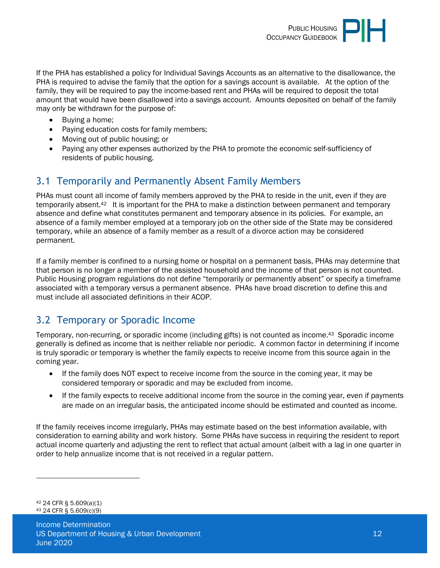

If the PHA has established a policy for Individual Savings Accounts as an alternative to the disallowance, the PHA is required to advise the family that the option for a savings account is available. At the option of the family, they will be required to pay the income-based rent and PHAs will be required to deposit the total amount that would have been disallowed into a savings account. Amounts deposited on behalf of the family may only be withdrawn for the purpose of:

- Buying a home:
- Paying education costs for family members;
- Moving out of public housing; or
- Paying any other expenses authorized by the PHA to promote the economic self-sufficiency of residents of public housing.

# <span id="page-11-0"></span>3.1 Temporarily and Permanently Absent Family Members

PHAs must count all income of family members approved by the PHA to reside in the unit, even if they are temporarily absent.42 It is important for the PHA to make a distinction between permanent and temporary absence and define what constitutes permanent and temporary absence in its policies. For example, an absence of a family member employed at a temporary job on the other side of the State may be considered temporary, while an absence of a family member as a result of a divorce action may be considered permanent.

If a family member is confined to a nursing home or hospital on a permanent basis, PHAs may determine that that person is no longer a member of the assisted household and the income of that person is not counted. Public Housing program regulations do not define "temporarily or permanently absent" or specify a timeframe associated with a temporary versus a permanent absence. PHAs have broad discretion to define this and must include all associated definitions in their ACOP.

# <span id="page-11-1"></span>3.2 Temporary or Sporadic Income

Temporary, non-recurring, or sporadic income (including gifts) is not counted as income.43 Sporadic income generally is defined as income that is neither reliable nor periodic. A common factor in determining if income is truly sporadic or temporary is whether the family expects to receive income from this source again in the coming year.

- If the family does NOT expect to receive income from the source in the coming year, it may be considered temporary or sporadic and may be excluded from income.
- If the family expects to receive additional income from the source in the coming year, even if payments are made on an irregular basis, the anticipated income should be estimated and counted as income.

If the family receives income irregularly, PHAs may estimate based on the best information available, with consideration to earning ability and work history. Some PHAs have success in requiring the resident to report actual income quarterly and adjusting the rent to reflect that actual amount (albeit with a lag in one quarter in order to help annualize income that is not received in a regular pattern.

<sup>42</sup> 24 CFR § 5.609(a)(1) 43 24 CFR § 5.609(c)(9)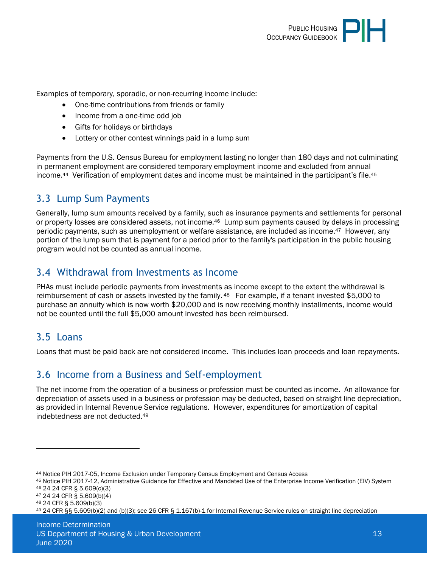

Examples of temporary, sporadic, or non-recurring income include:

- One-time contributions from friends or family
- Income from a one-time odd job
- Gifts for holidays or birthdays
- Lottery or other contest winnings paid in a lump sum

Payments from the U.S. Census Bureau for employment lasting no longer than 180 days and not culminating in permanent employment are considered temporary employment income and excluded from annual income.44 Verification of employment dates and income must be maintained in the participant's file.<sup>45</sup>

# <span id="page-12-0"></span>3.3 Lump Sum Payments

Generally, lump sum amounts received by a family, such as insurance payments and settlements for personal or property losses are considered assets, not income.46 Lump sum payments caused by delays in processing periodic payments, such as unemployment or welfare assistance, are included as income.47 However, any portion of the lump sum that is payment for a period prior to the family's participation in the public housing program would not be counted as annual income.

## <span id="page-12-1"></span>3.4 Withdrawal from Investments as Income

PHAs must include periodic payments from investments as income except to the extent the withdrawal is reimbursement of cash or assets invested by the family. <sup>48</sup> For example, if a tenant invested \$5,000 to purchase an annuity which is now worth \$20,000 and is now receiving monthly installments, income would not be counted until the full \$5,000 amount invested has been reimbursed.

# <span id="page-12-2"></span>3.5 Loans

Loans that must be paid back are not considered income. This includes loan proceeds and loan repayments.

#### <span id="page-12-3"></span>3.6 Income from a Business and Self-employment

The net income from the operation of a business or profession must be counted as income. An allowance for depreciation of assets used in a business or profession may be deducted, based on straight line depreciation, as provided in Internal Revenue Service regulations. However, expenditures for amortization of capital indebtedness are not deducted.<sup>49</sup>

<sup>44</sup> Notice PIH 2017-05, Income Exclusion under Temporary Census Employment and Census Access

<sup>45</sup> Notice PIH 2017-12, Administrative Guidance for Effective and Mandated Use of the Enterprise Income Verification (EIV) System <sup>46</sup> 24 24 CFR § 5.609(c)(3)

<sup>47</sup> 24 24 CFR § 5.609(b)(4)

<sup>48</sup> 24 CFR § 5.609(b)(3)

<sup>49</sup> 24 CFR §§ 5.609(b)(2) and (b)(3); see 26 CFR § 1.167(b)-1 for Internal Revenue Service rules on straight line depreciation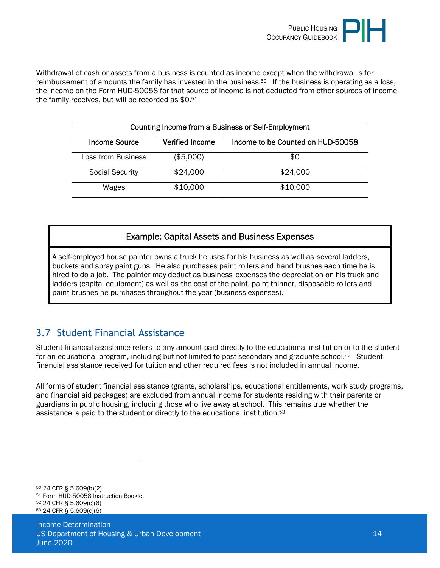

Withdrawal of cash or assets from a business is counted as income except when the withdrawal is for reimbursement of amounts the family has invested in the business.<sup>50</sup> If the business is operating as a loss, the income on the Form HUD-50058 for that source of income is not deducted from other sources of income the family receives, but will be recorded as \$0.<sup>51</sup>

| Counting Income from a Business or Self-Employment |                        |                                   |  |  |
|----------------------------------------------------|------------------------|-----------------------------------|--|--|
| <b>Income Source</b>                               | <b>Verified Income</b> | Income to be Counted on HUD-50058 |  |  |
| Loss from Business                                 | (\$5,000)              | \$0                               |  |  |
| <b>Social Security</b>                             | \$24,000               | \$24,000                          |  |  |
| Wages                                              | \$10,000               | \$10,000                          |  |  |

#### Example: Capital Assets and Business Expenses

A self-employed house painter owns a truck he uses for his business as well as several ladders, buckets and spray paint guns. He also purchases paint rollers and hand brushes each time he is hired to do a job. The painter may deduct as business expenses the depreciation on his truck and ladders (capital equipment) as well as the cost of the paint, paint thinner, disposable rollers and paint brushes he purchases throughout the year (business expenses).

# <span id="page-13-0"></span>3.7 Student Financial Assistance

Student financial assistance refers to any amount paid directly to the educational institution or to the student for an educational program, including but not limited to post-secondary and graduate school.<sup>52</sup> Student financial assistance received for tuition and other required fees is not included in annual income.

All forms of student financial assistance (grants, scholarships, educational entitlements, work study programs, and financial aid packages) are excluded from annual income for students residing with their parents or guardians in public housing, including those who live away at school. This remains true whether the assistance is paid to the student or directly to the educational institution.<sup>53</sup>

 24 CFR § 5.609(b)(2) Form HUD-50058 Instruction Booklet 24 CFR § 5.609(c)(6) 24 CFR § 5.609(c)(6)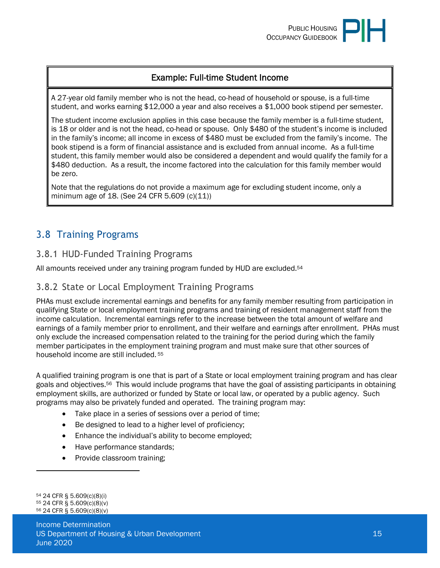#### Example: Full-time Student Income

A 27-year old family member who is not the head, co-head of household or spouse, is a full-time student, and works earning \$12,000 a year and also receives a \$1,000 book stipend per semester.

The student income exclusion applies in this case because the family member is a full-time student, is 18 or older and is not the head, co-head or spouse. Only \$480 of the student's income is included in the family's income; all income in excess of \$480 must be excluded from the family's income. The book stipend is a form of financial assistance and is excluded from annual income. As a full-time student, this family member would also be considered a dependent and would qualify the family for a \$480 deduction. As a result, the income factored into the calculation for this family member would be zero.

Note that the regulations do not provide a maximum age for excluding student income, only a minimum age of 18. (See 24 CFR 5.609 (c)(11))

# <span id="page-14-0"></span>3.8 Training Programs

#### <span id="page-14-1"></span>3.8.1 HUD-Funded Training Programs

All amounts received under any training program funded by HUD are excluded.<sup>54</sup>

#### <span id="page-14-2"></span>3.8.2 State or Local Employment Training Programs

PHAs must exclude incremental earnings and benefits for any family member resulting from participation in qualifying State or local employment training programs and training of resident management staff from the income calculation. Incremental earnings refer to the increase between the total amount of welfare and earnings of a family member prior to enrollment, and their welfare and earnings after enrollment. PHAs must only exclude the increased compensation related to the training for the period during which the family member participates in the employment training program and must make sure that other sources of household income are still included.<sup>55</sup>

A qualified training program is one that is part of a State or local employment training program and has clear goals and objectives.56 This would include programs that have the goal of assisting participants in obtaining employment skills, are authorized or funded by State or local law, or operated by a public agency. Such programs may also be privately funded and operated. The training program may:

- Take place in a series of sessions over a period of time;
- Be designed to lead to a higher level of proficiency;
- Enhance the individual's ability to become employed;
- Have performance standards;
- Provide classroom training;

<sup>54</sup> 24 CFR § 5.609(c)(8)(i) <sup>55</sup> 24 CFR § 5.609(c)(8)(v) <sup>56</sup> 24 CFR § 5.609(c)(8)(v)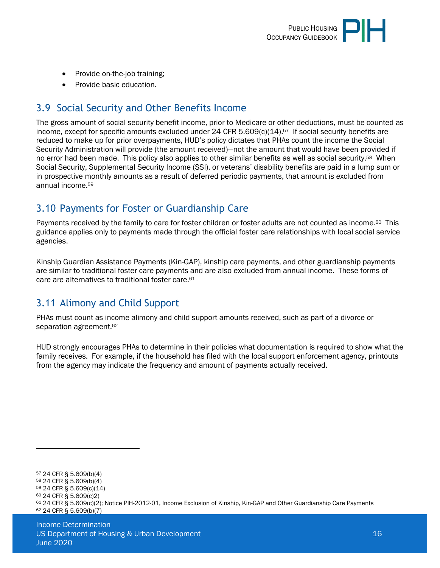

- Provide on-the-job training;
- Provide basic education.

# <span id="page-15-0"></span>3.9 Social Security and Other Benefits Income

The gross amount of social security benefit income, prior to Medicare or other deductions, must be counted as income, except for specific amounts excluded under 24 CFR 5.609(c)(14).<sup>57</sup> If social security benefits are reduced to make up for prior overpayments, HUD's policy dictates that PHAs count the income the Social Security Administration will provide (the amount received)—not the amount that would have been provided if no error had been made. This policy also applies to other similar benefits as well as social security.<sup>58</sup> When Social Security, Supplemental Security Income (SSI), or veterans' disability benefits are paid in a lump sum or in prospective monthly amounts as a result of deferred periodic payments, that amount is excluded from annual income.<sup>59</sup>

# <span id="page-15-1"></span>3.10 Payments for Foster or Guardianship Care

Payments received by the family to care for foster children or foster adults are not counted as income.<sup>60</sup> This guidance applies only to payments made through the official foster care relationships with local social service agencies.

Kinship Guardian Assistance Payments (Kin-GAP), kinship care payments, and other guardianship payments are similar to traditional foster care payments and are also excluded from annual income. These forms of care are alternatives to traditional foster care.<sup>61</sup>

# <span id="page-15-2"></span>3.11 Alimony and Child Support

PHAs must count as income alimony and child support amounts received, such as part of a divorce or separation agreement.<sup>62</sup>

HUD strongly encourages PHAs to determine in their policies what documentation is required to show what the family receives. For example, if the household has filed with the local support enforcement agency, printouts from the agency may indicate the frequency and amount of payments actually received.

<sup>57</sup> 24 CFR § 5.609(b)(4) <sup>58</sup> 24 CFR § 5.609(b)(4) <sup>59</sup> 24 CFR § 5.609(c)(14) <sup>60</sup> 24 CFR § 5.609(c)2) <sup>61</sup> 24 CFR § 5.609(c)(2); Notice PIH-2012-01, Income Exclusion of Kinship, Kin-GAP and Other Guardianship Care Payments 62 24 CFR § 5.609(b)(7)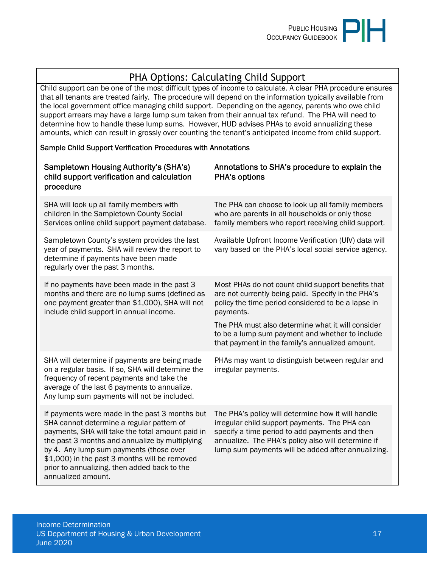

# PHA Options: Calculating Child Support

Child support can be one of the most difficult types of income to calculate. A clear PHA procedure ensures that all tenants are treated fairly. The procedure will depend on the information typically available from the local government office managing child support. Depending on the agency, parents who owe child support arrears may have a large lump sum taken from their annual tax refund. The PHA will need to determine how to handle these lump sums. However, HUD advises PHAs to avoid annualizing these amounts, which can result in grossly over counting the tenant's anticipated income from child support.

#### Sample Child Support Verification Procedures with Annotations

| <b>Sampletown Housing Authority's (SHA's)</b><br>child support verification and calculation<br>procedure                                                                                                                                                                                                                                                            | Annotations to SHA's procedure to explain the<br><b>PHA's options</b>                                                                                                                                                                                             |
|---------------------------------------------------------------------------------------------------------------------------------------------------------------------------------------------------------------------------------------------------------------------------------------------------------------------------------------------------------------------|-------------------------------------------------------------------------------------------------------------------------------------------------------------------------------------------------------------------------------------------------------------------|
| SHA will look up all family members with<br>children in the Sampletown County Social<br>Services online child support payment database.                                                                                                                                                                                                                             | The PHA can choose to look up all family members<br>who are parents in all households or only those<br>family members who report receiving child support.                                                                                                         |
| Sampletown County's system provides the last<br>year of payments. SHA will review the report to<br>determine if payments have been made<br>regularly over the past 3 months.                                                                                                                                                                                        | Available Upfront Income Verification (UIV) data will<br>vary based on the PHA's local social service agency.                                                                                                                                                     |
| If no payments have been made in the past 3<br>months and there are no lump sums (defined as<br>one payment greater than \$1,000), SHA will not<br>include child support in annual income.                                                                                                                                                                          | Most PHAs do not count child support benefits that<br>are not currently being paid. Specify in the PHA's<br>policy the time period considered to be a lapse in<br>payments.                                                                                       |
|                                                                                                                                                                                                                                                                                                                                                                     | The PHA must also determine what it will consider<br>to be a lump sum payment and whether to include<br>that payment in the family's annualized amount.                                                                                                           |
| SHA will determine if payments are being made<br>on a regular basis. If so, SHA will determine the<br>frequency of recent payments and take the<br>average of the last 6 payments to annualize.<br>Any lump sum payments will not be included.                                                                                                                      | PHAs may want to distinguish between regular and<br>irregular payments.                                                                                                                                                                                           |
| If payments were made in the past 3 months but<br>SHA cannot determine a regular pattern of<br>payments, SHA will take the total amount paid in<br>the past 3 months and annualize by multiplying<br>by 4. Any lump sum payments (those over<br>\$1,000) in the past 3 months will be removed<br>prior to annualizing, then added back to the<br>annualized amount. | The PHA's policy will determine how it will handle<br>irregular child support payments. The PHA can<br>specify a time period to add payments and then<br>annualize. The PHA's policy also will determine if<br>lump sum payments will be added after annualizing. |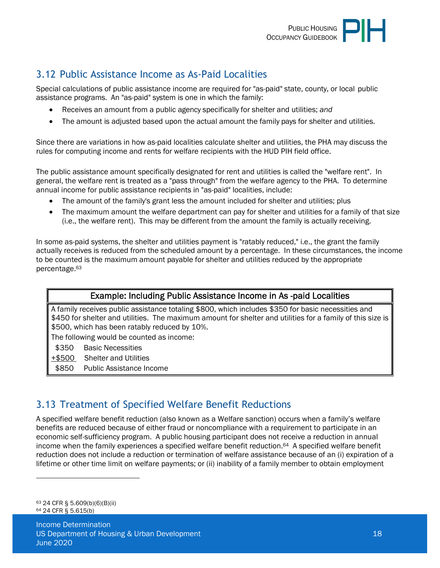

# <span id="page-17-0"></span>3.12 Public Assistance Income as As-Paid Localities

Special calculations of public assistance income are required for "as-paid" state, county, or local public assistance programs. An "as-paid" system is one in which the family:

- Receives an amount from a public agency specifically for shelter and utilities; *and*
- The amount is adjusted based upon the actual amount the family pays for shelter and utilities.

Since there are variations in how as-paid localities calculate shelter and utilities, the PHA may discuss the rules for computing income and rents for welfare recipients with the HUD PIH field office.

The public assistance amount specifically designated for rent and utilities is called the "welfare rent". In general, the welfare rent is treated as a "pass through" from the welfare agency to the PHA. To determine annual income for public assistance recipients in "as-paid" localities, include:

- The amount of the family's grant less the amount included for shelter and utilities; plus
- The maximum amount the welfare department can pay for shelter and utilities for a family of that size (i.e., the welfare rent). This may be different from the amount the family is actually receiving.

In some as-paid systems, the shelter and utilities payment is "ratably reduced," i.e., the grant the family actually receives is reduced from the scheduled amount by a percentage. In these circumstances, the income to be counted is the maximum amount payable for shelter and utilities reduced by the appropriate percentage.<sup>63</sup>

#### Example: Including Public Assistance Income in As -paid Localities

A family receives public assistance totaling \$800, which includes \$350 for basic necessities and \$450 for shelter and utilities. The maximum amount for shelter and utilities for a family of this size is \$500, which has been ratably reduced by 10%.

The following would be counted as income:

- \$350 Basic Necessities
- +\$500 Shelter and Utilities
- <span id="page-17-1"></span>\$850 Public Assistance Income

# 3.13 Treatment of Specified Welfare Benefit Reductions

A specified welfare benefit reduction (also known as a Welfare sanction) occurs when a family's welfare benefits are reduced because of either fraud or noncompliance with a requirement to participate in an economic self-sufficiency program. A public housing participant does not receive a reduction in annual income when the family experiences a specified welfare benefit reduction.64 A specified welfare benefit reduction does not include a reduction or termination of welfare assistance because of an (i) expiration of a lifetime or other time limit on welfare payments; or (ii) inability of a family member to obtain employment

<sup>63</sup> 24 CFR § 5.609(b)(6)(B)(ii) <sup>64</sup> 24 CFR § 5.615(b)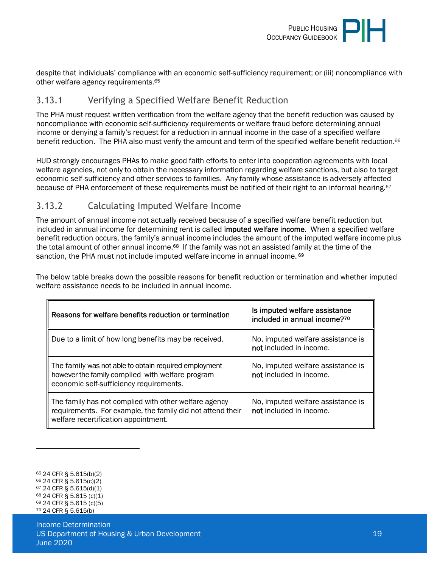

despite that individuals' compliance with an economic self-sufficiency requirement; or (iii) noncompliance with other welfare agency requirements.<sup>65</sup>

#### <span id="page-18-0"></span>3.13.1 Verifying a Specified Welfare Benefit Reduction

The PHA must request written verification from the welfare agency that the benefit reduction was caused by noncompliance with economic self-sufficiency requirements or welfare fraud before determining annual income or denying a family's request for a reduction in annual income in the case of a specified welfare benefit reduction. The PHA also must verify the amount and term of the specified welfare benefit reduction.<sup>66</sup>

HUD strongly encourages PHAs to make good faith efforts to enter into cooperation agreements with local welfare agencies, not only to obtain the necessary information regarding welfare sanctions, but also to target economic self-sufficiency and other services to families. Any family whose assistance is adversely affected because of PHA enforcement of these requirements must be notified of their right to an informal hearing.<sup>67</sup>

#### <span id="page-18-1"></span>3.13.2 Calculating Imputed Welfare Income

The amount of annual income not actually received because of a specified welfare benefit reduction but included in annual income for determining rent is called imputed welfare income. When a specified welfare benefit reduction occurs, the family's annual income includes the amount of the imputed welfare income plus the total amount of other annual income.<sup>68</sup> If the family was not an assisted family at the time of the sanction, the PHA must not include imputed welfare income in annual income.<sup>69</sup>

The below table breaks down the possible reasons for benefit reduction or termination and whether imputed welfare assistance needs to be included in annual income.

| Reasons for welfare benefits reduction or termination                                                                                                       | Is imputed welfare assistance<br>included in annual income?70 |
|-------------------------------------------------------------------------------------------------------------------------------------------------------------|---------------------------------------------------------------|
| Due to a limit of how long benefits may be received.                                                                                                        | No, imputed welfare assistance is<br>not included in income.  |
| The family was not able to obtain required employment<br>however the family complied with welfare program<br>economic self-sufficiency requirements.        | No, imputed welfare assistance is<br>not included in income.  |
| The family has not complied with other welfare agency<br>requirements. For example, the family did not attend their<br>welfare recertification appointment. | No, imputed welfare assistance is<br>not included in income.  |

<sup>65</sup> 24 CFR § 5.615(b)(2) <sup>66</sup> 24 CFR § 5.615(c)(2) <sup>67</sup> 24 CFR § 5.615(d)(1) <sup>68</sup> 24 CFR § 5.615 (c)(1) <sup>69</sup> 24 CFR § 5.615 (c)(5) 70 24 CFR § 5.615(b)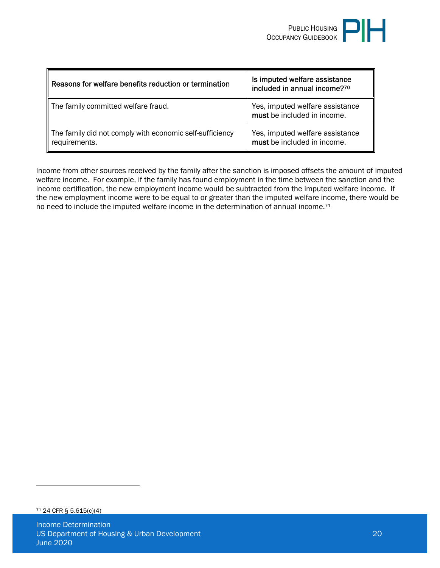| Reasons for welfare benefits reduction or termination                     | Is imputed welfare assistance<br>included in annual income?70  |
|---------------------------------------------------------------------------|----------------------------------------------------------------|
| The family committed welfare fraud.                                       | Yes, imputed welfare assistance<br>must be included in income. |
| The family did not comply with economic self-sufficiency<br>requirements. | Yes, imputed welfare assistance<br>must be included in income. |

Income from other sources received by the family after the sanction is imposed offsets the amount of imputed welfare income. For example, if the family has found employment in the time between the sanction and the income certification, the new employment income would be subtracted from the imputed welfare income. If the new employment income were to be equal to or greater than the imputed welfare income, there would be no need to include the imputed welfare income in the determination of annual income.<sup>71</sup>

<sup>71</sup> 24 CFR § 5.615(c)(4)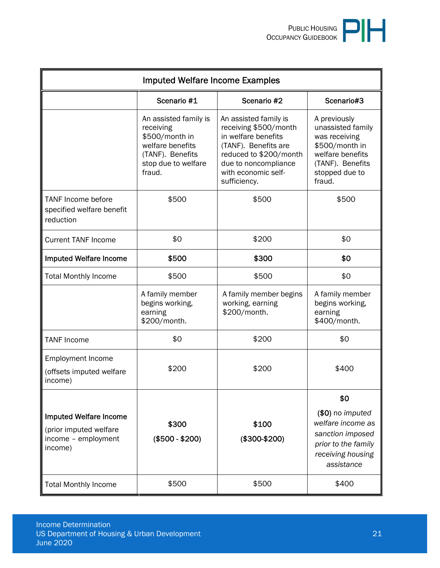|                                                                                           | <b>Imputed Welfare Income Examples</b>                                                                                        |                                                                                                                                                                                        |                                                                                                                                          |
|-------------------------------------------------------------------------------------------|-------------------------------------------------------------------------------------------------------------------------------|----------------------------------------------------------------------------------------------------------------------------------------------------------------------------------------|------------------------------------------------------------------------------------------------------------------------------------------|
|                                                                                           | Scenario #1                                                                                                                   | Scenario #2                                                                                                                                                                            | Scenario#3                                                                                                                               |
|                                                                                           | An assisted family is<br>receiving<br>\$500/month in<br>welfare benefits<br>(TANF). Benefits<br>stop due to welfare<br>fraud. | An assisted family is<br>receiving \$500/month<br>in welfare benefits<br>(TANF). Benefits are<br>reduced to \$200/month<br>due to noncompliance<br>with economic self-<br>sufficiency. | A previously<br>unassisted family<br>was receiving<br>\$500/month in<br>welfare benefits<br>(TANF). Benefits<br>stopped due to<br>fraud. |
| <b>TANF Income before</b><br>specified welfare benefit<br>reduction                       | \$500                                                                                                                         | \$500                                                                                                                                                                                  | \$500                                                                                                                                    |
| <b>Current TANF Income</b>                                                                | \$0                                                                                                                           | \$200                                                                                                                                                                                  | \$0                                                                                                                                      |
| <b>Imputed Welfare Income</b>                                                             | \$500                                                                                                                         | \$300                                                                                                                                                                                  | \$0                                                                                                                                      |
| <b>Total Monthly Income</b>                                                               | \$500                                                                                                                         | \$500                                                                                                                                                                                  | \$0                                                                                                                                      |
|                                                                                           | A family member<br>begins working,<br>earning<br>\$200/month.                                                                 | A family member begins<br>working, earning<br>\$200/month.                                                                                                                             | A family member<br>begins working,<br>earning<br>\$400/month.                                                                            |
| <b>TANF Income</b>                                                                        | \$0                                                                                                                           | \$200                                                                                                                                                                                  | \$0                                                                                                                                      |
| <b>Employment Income</b><br>(offsets imputed welfare<br>income)                           | \$200                                                                                                                         | \$200                                                                                                                                                                                  | \$400                                                                                                                                    |
|                                                                                           |                                                                                                                               |                                                                                                                                                                                        | \$0                                                                                                                                      |
| <b>Imputed Welfare Income</b><br>(prior imputed welfare<br>income - employment<br>income) | \$300<br>$($500 - $200)$                                                                                                      | \$100<br>$($300-$200)$                                                                                                                                                                 | (\$0) no imputed<br>welfare income as<br>sanction imposed<br>prior to the family<br>receiving housing<br>assistance                      |
| <b>Total Monthly Income</b>                                                               | \$500                                                                                                                         | \$500                                                                                                                                                                                  | \$400                                                                                                                                    |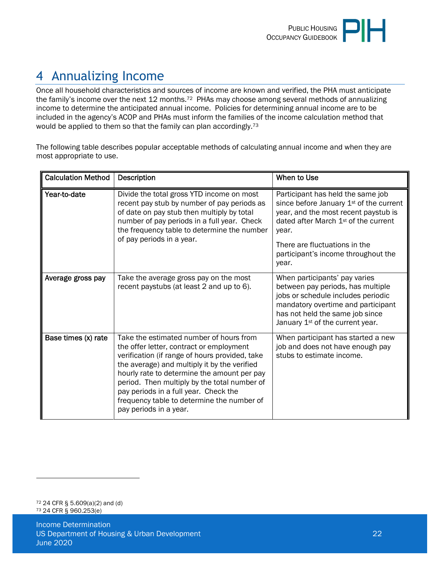# <span id="page-21-0"></span>4 Annualizing Income

Once all household characteristics and sources of income are known and verified, the PHA must anticipate the family's income over the next 12 months.<sup>72</sup> PHAs may choose among several methods of annualizing income to determine the anticipated annual income. Policies for determining annual income are to be included in the agency's ACOP and PHAs must inform the families of the income calculation method that would be applied to them so that the family can plan accordingly.<sup>73</sup>

The following table describes popular acceptable methods of calculating annual income and when they are most appropriate to use.

| <b>Calculation Method</b> | <b>Description</b>                                                                                                                                                                                                                                                                                                                                                                                    | When to Use                                                                                                                                                                                                                                                          |
|---------------------------|-------------------------------------------------------------------------------------------------------------------------------------------------------------------------------------------------------------------------------------------------------------------------------------------------------------------------------------------------------------------------------------------------------|----------------------------------------------------------------------------------------------------------------------------------------------------------------------------------------------------------------------------------------------------------------------|
| Year-to-date              | Divide the total gross YTD income on most<br>recent pay stub by number of pay periods as<br>of date on pay stub then multiply by total<br>number of pay periods in a full year. Check<br>the frequency table to determine the number<br>of pay periods in a year.                                                                                                                                     | Participant has held the same job<br>since before January 1 <sup>st</sup> of the current<br>year, and the most recent paystub is<br>dated after March $1st$ of the current<br>year.<br>There are fluctuations in the<br>participant's income throughout the<br>year. |
| Average gross pay         | Take the average gross pay on the most<br>recent paystubs (at least 2 and up to 6).                                                                                                                                                                                                                                                                                                                   | When participants' pay varies<br>between pay periods, has multiple<br>jobs or schedule includes periodic<br>mandatory overtime and participant<br>has not held the same job since<br>January 1 <sup>st</sup> of the current year.                                    |
| Base times (x) rate       | Take the estimated number of hours from<br>the offer letter, contract or employment<br>verification (if range of hours provided, take<br>the average) and multiply it by the verified<br>hourly rate to determine the amount per pay<br>period. Then multiply by the total number of<br>pay periods in a full year. Check the<br>frequency table to determine the number of<br>pay periods in a year. | When participant has started a new<br>job and does not have enough pay<br>stubs to estimate income.                                                                                                                                                                  |

<sup>72</sup> 24 CFR § 5.609(a)(2) and (d) 73 24 CFR § 960.253(e)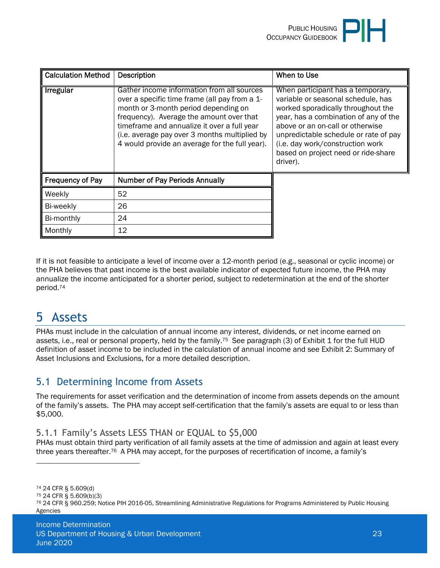

| <b>Calculation Method</b> | <b>Description</b>                                                                                                                                                                                                                                                                                                                | When to Use                                                                                                                                                                                                                                                                                                                |
|---------------------------|-----------------------------------------------------------------------------------------------------------------------------------------------------------------------------------------------------------------------------------------------------------------------------------------------------------------------------------|----------------------------------------------------------------------------------------------------------------------------------------------------------------------------------------------------------------------------------------------------------------------------------------------------------------------------|
| <b>Irregular</b>          | Gather income information from all sources<br>over a specific time frame (all pay from a 1-<br>month or 3-month period depending on<br>frequency). Average the amount over that<br>timeframe and annualize it over a full year<br>(i.e. average pay over 3 months multiplied by<br>4 would provide an average for the full year). | When participant has a temporary,<br>variable or seasonal schedule, has<br>worked sporadically throughout the<br>year, has a combination of any of the<br>above or an on-call or otherwise<br>unpredictable schedule or rate of pay<br>(i.e. day work/construction work<br>based on project need or ride-share<br>driver). |
| Frequency of Pay          | <b>Number of Pay Periods Annually</b>                                                                                                                                                                                                                                                                                             |                                                                                                                                                                                                                                                                                                                            |
| Weekly                    | 52                                                                                                                                                                                                                                                                                                                                |                                                                                                                                                                                                                                                                                                                            |
| Bi-weekly                 | 26                                                                                                                                                                                                                                                                                                                                |                                                                                                                                                                                                                                                                                                                            |
| Bi-monthly                | 24                                                                                                                                                                                                                                                                                                                                |                                                                                                                                                                                                                                                                                                                            |
| Monthly                   | 12                                                                                                                                                                                                                                                                                                                                |                                                                                                                                                                                                                                                                                                                            |

If it is not feasible to anticipate a level of income over a 12-month period (e.g., seasonal or cyclic income) or the PHA believes that past income is the best available indicator of expected future income, the PHA may annualize the income anticipated for a shorter period, subject to redetermination at the end of the shorter period.<sup>74</sup>

# <span id="page-22-0"></span>5 Assets

PHAs must include in the calculation of annual income any interest, dividends, or net income earned on assets, i.e., real or personal property, held by the family.<sup>75</sup> See paragraph (3) of Exhibit 1 for the full HUD definition of asset income to be included in the calculation of annual income and see Exhibit 2: Summary of Asset Inclusions and Exclusions, for a more detailed description.

# <span id="page-22-1"></span>5.1 Determining Income from Assets

The requirements for asset verification and the determination of income from assets depends on the amount of the family's assets. The PHA may accept self-certification that the family's assets are equal to or less than \$5,000.

#### <span id="page-22-2"></span>5.1.1 Family's Assets LESS THAN or EQUAL to \$5,000

PHAs must obtain third party verification of all family assets at the time of admission and again at least every three years thereafter.76 A PHA may accept, for the purposes of recertification of income, a family's

<sup>74</sup> 24 CFR § 5.609(d)

<sup>75</sup> 24 CFR § 5.609(b)(3)

<sup>76</sup> 24 CFR § 960.259; Notice PIH 2016-05, Streamlining Administrative Regulations for Programs Administered by Public Housing Agencies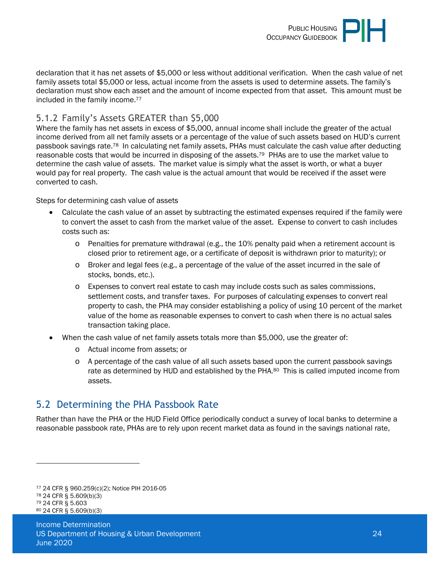

declaration that it has net assets of \$5,000 or less without additional verification. When the cash value of net family assets total \$5,000 or less, actual income from the assets is used to determine assets. The family's declaration must show each asset and the amount of income expected from that asset. This amount must be included in the family income.<sup>77</sup>

#### <span id="page-23-0"></span>5.1.2 Family's Assets GREATER than \$5,000

Where the family has net assets in excess of \$5,000, annual income shall include the greater of the actual income derived from all net family assets or a percentage of the value of such assets based on HUD's current passbook savings rate.78 In calculating net family assets, PHAs must calculate the cash value after deducting reasonable costs that would be incurred in disposing of the assets.79 PHAs are to use the market value to determine the cash value of assets. The market value is simply what the asset is worth, or what a buyer would pay for real property. The cash value is the actual amount that would be received if the asset were converted to cash.

Steps for determining cash value of assets

- Calculate the cash value of an asset by subtracting the estimated expenses required if the family were to convert the asset to cash from the market value of the asset. Expense to convert to cash includes costs such as:
	- $\circ$  Penalties for premature withdrawal (e.g., the 10% penalty paid when a retirement account is closed prior to retirement age, or a certificate of deposit is withdrawn prior to maturity); or
	- o Broker and legal fees (e.g., a percentage of the value of the asset incurred in the sale of stocks, bonds, etc.).
	- o Expenses to convert real estate to cash may include costs such as sales commissions, settlement costs, and transfer taxes. For purposes of calculating expenses to convert real property to cash, the PHA may consider establishing a policy of using 10 percent of the market value of the home as reasonable expenses to convert to cash when there is no actual sales transaction taking place.
- When the cash value of net family assets totals more than \$5,000, use the greater of:
	- o Actual income from assets; or
	- o A percentage of the cash value of all such assets based upon the current passbook savings rate as determined by HUD and established by the PHA.<sup>80</sup> This is called imputed income from assets.

# <span id="page-23-1"></span>5.2 Determining the PHA Passbook Rate

Rather than have the PHA or the HUD Field Office periodically conduct a survey of local banks to determine a reasonable passbook rate, PHAs are to rely upon recent market data as found in the savings national rate,

 24 CFR § 960.259(c)(2); Notice PIH 2016-05 24 CFR § 5.609(b)(3) 24 CFR § 5.603 24 CFR § 5.609(b)(3)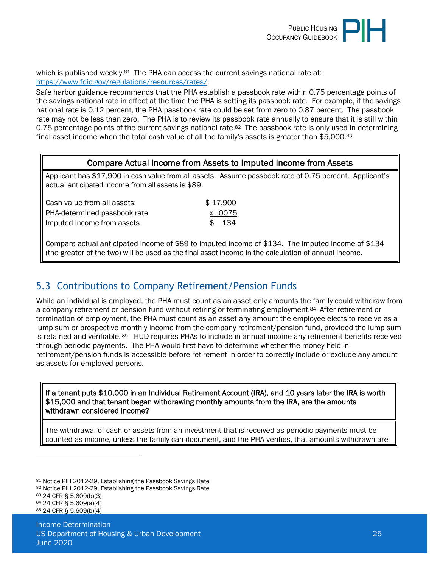

which is published weekly. $81$  The PHA can access the current savings national rate at: [https://www.fdic.gov/regulations/resources/rates/.](https://www.fdic.gov/regulations/resources/rates/)

Safe harbor guidance recommends that the PHA establish a passbook rate within 0.75 percentage points of the savings national rate in effect at the time the PHA is setting its passbook rate. For example, if the savings national rate is 0.12 percent, the PHA passbook rate could be set from zero to 0.87 percent. The passbook rate may not be less than zero. The PHA is to review its passbook rate annually to ensure that it is still within 0.75 percentage points of the current savings national rate.<sup>82</sup> The passbook rate is only used in determining final asset income when the total cash value of all the family's assets is greater than \$5,000.<sup>83</sup>

#### Compare Actual Income from Assets to Imputed Income from Assets

Applicant has \$17,900 in cash value from all assets. Assume passbook rate of 0.75 percent. Applicant's actual anticipated income from all assets is \$89.

| Cash value from all assets:  | \$17,900 |
|------------------------------|----------|
| PHA-determined passbook rate | x.0075   |
| Imputed income from assets   | \$ 134   |

Compare actual anticipated income of \$89 to imputed income of \$134. The imputed income of \$134 (the greater of the two) will be used as the final asset income in the calculation of annual income.

#### <span id="page-24-0"></span>5.3 Contributions to Company Retirement/Pension Funds

While an individual is employed, the PHA must count as an asset only amounts the family could withdraw from a company retirement or pension fund without retiring or terminating employment.<sup>84</sup> After retirement or termination of employment, the PHA must count as an asset any amount the employee elects to receive as a lump sum or prospective monthly income from the company retirement/pension fund, provided the lump sum is retained and verifiable. 85 HUD requires PHAs to include in annual income any retirement benefits received through periodic payments. The PHA would first have to determine whether the money held in retirement/pension funds is accessible before retirement in order to correctly include or exclude any amount as assets for employed persons.

#### If a tenant puts \$10,000 in an Individual Retirement Account (IRA), and 10 years later the IRA is worth \$15,000 and that tenant began withdrawing monthly amounts from the IRA, are the amounts withdrawn considered income?

The withdrawal of cash or assets from an investment that is received as periodic payments must be counted as income, unless the family can document, and the PHA verifies, that amounts withdrawn are

<sup>81</sup> Notice PIH 2012-29, Establishing the Passbook Savings Rate

<sup>82</sup> Notice PIH 2012-29, Establishing the Passbook Savings Rate

<sup>83</sup> 24 CFR § 5.609(b)(3)

<sup>84</sup> 24 CFR § 5.609(a)(4)

<sup>85</sup> 24 CFR § 5.609(b)(4)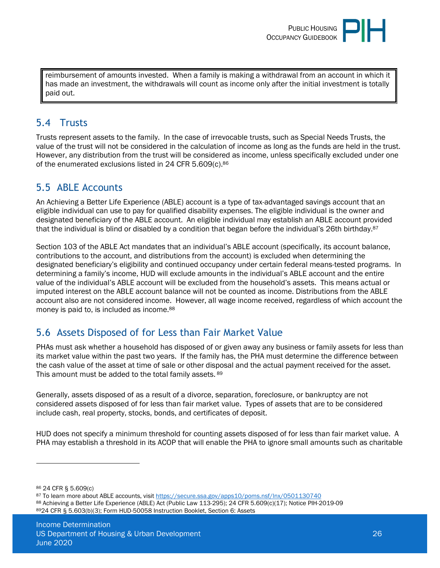

reimbursement of amounts invested. When a family is making a withdrawal from an account in which it has made an investment, the withdrawals will count as income only after the initial investment is totally paid out.

#### <span id="page-25-0"></span>5.4 Trusts

Trusts represent assets to the family. In the case of irrevocable trusts, such as Special Needs Trusts, the value of the trust will not be considered in the calculation of income as long as the funds are held in the trust. However, any distribution from the trust will be considered as income, unless specifically excluded under one of the enumerated exclusions listed in 24 CFR 5.609(c).<sup>86</sup>

# <span id="page-25-1"></span>5.5 ABLE Accounts

An Achieving a Better Life Experience (ABLE) account is a type of tax-advantaged savings account that an eligible individual can use to pay for qualified disability expenses. The eligible individual is the owner and designated beneficiary of the ABLE account. An eligible individual may establish an ABLE account provided that the individual is blind or disabled by a condition that began before the individual's 26th birthday.<sup>87</sup>

Section 103 of the ABLE Act mandates that an individual's ABLE account (specifically, its account balance, contributions to the account, and distributions from the account) is excluded when determining the designated beneficiary's eligibility and continued occupancy under certain federal means-tested programs. In determining a family's income, HUD will exclude amounts in the individual's ABLE account and the entire value of the individual's ABLE account will be excluded from the household's assets. This means actual or imputed interest on the ABLE account balance will not be counted as income. Distributions from the ABLE account also are not considered income. However, all wage income received, regardless of which account the money is paid to, is included as income.<sup>88</sup>

# <span id="page-25-2"></span>5.6 Assets Disposed of for Less than Fair Market Value

PHAs must ask whether a household has disposed of or given away any business or family assets for less than its market value within the past two years. If the family has, the PHA must determine the difference between the cash value of the asset at time of sale or other disposal and the actual payment received for the asset. This amount must be added to the total family assets. 89

Generally, assets disposed of as a result of a divorce, separation, foreclosure, or bankruptcy are not considered assets disposed of for less than fair market value. Types of assets that are to be considered include cash, real property, stocks, bonds, and certificates of deposit.

HUD does not specify a minimum threshold for counting assets disposed of for less than fair market value. A PHA may establish a threshold in its ACOP that will enable the PHA to ignore small amounts such as charitable

<sup>86</sup> 24 CFR § 5.609(c)

<sup>87</sup> To learn more about ABLE accounts, visit<https://secure.ssa.gov/apps10/poms.nsf/lnx/0501130740>

<sup>88</sup> Achieving a Better Life Experience (ABLE) Act (Public Law 113-295); 24 CFR 5.609(c)(17); Notice PIH-2019-09 <sup>89</sup>24 CFR § 5.603(b)(3); Form HUD-50058 Instruction Booklet, Section 6: Assets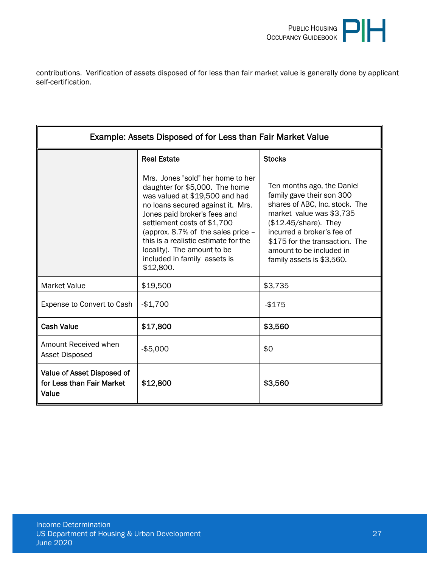

contributions. Verification of assets disposed of for less than fair market value is generally done by applicant self-certification.

| Example: Assets Disposed of for Less than Fair Market Value      |                                                                                                                                                                                                                                                                                                                                                                          |                                                                                                                                                                                                                                                                          |  |  |
|------------------------------------------------------------------|--------------------------------------------------------------------------------------------------------------------------------------------------------------------------------------------------------------------------------------------------------------------------------------------------------------------------------------------------------------------------|--------------------------------------------------------------------------------------------------------------------------------------------------------------------------------------------------------------------------------------------------------------------------|--|--|
|                                                                  | <b>Real Estate</b>                                                                                                                                                                                                                                                                                                                                                       | <b>Stocks</b>                                                                                                                                                                                                                                                            |  |  |
|                                                                  | Mrs. Jones "sold" her home to her<br>daughter for \$5,000. The home<br>was valued at \$19,500 and had<br>no loans secured against it. Mrs.<br>Jones paid broker's fees and<br>settlement costs of \$1,700<br>(approx. $8.7\%$ of the sales price $-$<br>this is a realistic estimate for the<br>locality). The amount to be<br>included in family assets is<br>\$12,800. | Ten months ago, the Daniel<br>family gave their son 300<br>shares of ABC, Inc. stock. The<br>market value was \$3,735<br>$$12.45$ /share). They<br>incurred a broker's fee of<br>\$175 for the transaction. The<br>amount to be included in<br>family assets is \$3,560. |  |  |
| <b>Market Value</b>                                              | \$19,500                                                                                                                                                                                                                                                                                                                                                                 | \$3,735                                                                                                                                                                                                                                                                  |  |  |
| Expense to Convert to Cash                                       | $-$1,700$                                                                                                                                                                                                                                                                                                                                                                | $-$ \$175                                                                                                                                                                                                                                                                |  |  |
| <b>Cash Value</b>                                                | \$17,800                                                                                                                                                                                                                                                                                                                                                                 | \$3,560                                                                                                                                                                                                                                                                  |  |  |
| Amount Received when<br><b>Asset Disposed</b>                    | $-$ \$5,000                                                                                                                                                                                                                                                                                                                                                              | \$0                                                                                                                                                                                                                                                                      |  |  |
| Value of Asset Disposed of<br>for Less than Fair Market<br>Value | \$12,800                                                                                                                                                                                                                                                                                                                                                                 | \$3,560                                                                                                                                                                                                                                                                  |  |  |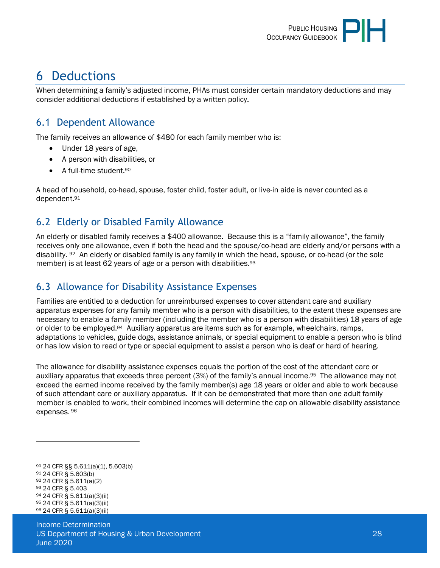

# <span id="page-27-0"></span>6 Deductions

<span id="page-27-1"></span>When determining a family's adjusted income, PHAs must consider certain mandatory deductions and may consider additional deductions if established by a written policy.

#### 6.1 Dependent Allowance

The family receives an allowance of \$480 for each family member who is:

- Under 18 years of age,
- A person with disabilities, or
- A full-time student.<sup>90</sup>

A head of household, co-head, spouse, foster child, foster adult, or live-in aide is never counted as a dependent.<sup>91</sup>

# <span id="page-27-2"></span>6.2 Elderly or Disabled Family Allowance

An elderly or disabled family receives a \$400 allowance. Because this is a "family allowance", the family receives only one allowance, even if both the head and the spouse/co-head are elderly and/or persons with a disability. 92 An elderly or disabled family is any family in which the head, spouse, or co-head (or the sole member) is at least 62 years of age or a person with disabilities.<sup>93</sup>

## <span id="page-27-3"></span>6.3 Allowance for Disability Assistance Expenses

Families are entitled to a deduction for unreimbursed expenses to cover attendant care and auxiliary apparatus expenses for any family member who is a person with disabilities, to the extent these expenses are necessary to enable a family member (including the member who is a person with disabilities) 18 years of age or older to be employed.94 Auxiliary apparatus are items such as for example, wheelchairs, ramps, adaptations to vehicles, guide dogs, assistance animals, or special equipment to enable a person who is blind or has low vision to read or type or special equipment to assist a person who is deaf or hard of hearing.

The allowance for disability assistance expenses equals the portion of the cost of the attendant care or auxiliary apparatus that exceeds three percent (3%) of the family's annual income.95 The allowance may not exceed the earned income received by the family member(s) age 18 years or older and able to work because of such attendant care or auxiliary apparatus. If it can be demonstrated that more than one adult family member is enabled to work, their combined incomes will determine the cap on allowable disability assistance expenses.<sup>96</sup>

 24 CFR §§ 5.611(a)(1), 5.603(b) 24 CFR § 5.603(b) 24 CFR § 5.611(a)(2) 24 CFR § 5.403 24 CFR § 5.611(a)(3)(ii) 24 CFR § 5.611(a)(3)(ii) 24 CFR § 5.611(a)(3)(ii)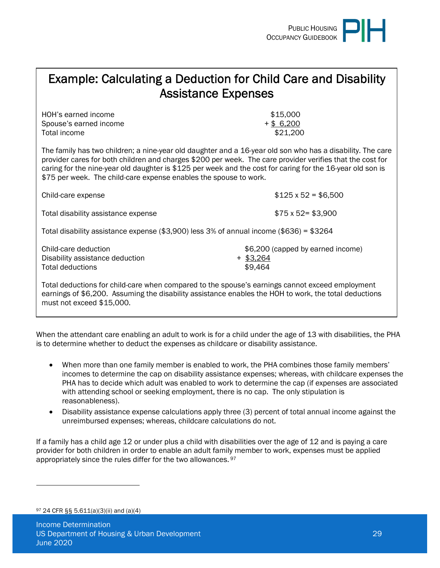

# Example: Calculating a Deduction for Child Care and Disability Assistance Expenses

HOH's earned income  $$15,000$ Spouse's earned income  $+$  \$ 6,200 Total income  $$21,200$ 

The family has two children; a nine-year old daughter and a 16-year old son who has a disability. The care provider cares for both children and charges \$200 per week. The care provider verifies that the cost for caring for the nine-year old daughter is \$125 per week and the cost for caring for the 16-year old son is \$75 per week. The child-care expense enables the spouse to work.

| Child-care expense                                                                            | $$125 \times 52 = $6,500$                                   |
|-----------------------------------------------------------------------------------------------|-------------------------------------------------------------|
| Total disability assistance expense                                                           | $$75 \times 52 = $3,900$                                    |
| Total disability assistance expense (\$3,900) less $3\%$ of annual income (\$636) = \$3264    |                                                             |
| Child-care deduction<br>Disability assistance deduction<br>Total deductions                   | \$6,200 (capped by earned income)<br>$+$ \$3,264<br>\$9,464 |
| Total deductions for child-care when compared to the spouse's earnings cannot exceed employme |                                                             |

Total deductions for child-care when compared to the spouse's earnings cannot exceed employment earnings of \$6,200. Assuming the disability assistance enables the HOH to work, the total deductions must not exceed \$15,000.

When the attendant care enabling an adult to work is for a child under the age of 13 with disabilities, the PHA is to determine whether to deduct the expenses as childcare or disability assistance.

- When more than one family member is enabled to work, the PHA combines those family members' incomes to determine the cap on disability assistance expenses; whereas, with childcare expenses the PHA has to decide which adult was enabled to work to determine the cap (if expenses are associated with attending school or seeking employment, there is no cap. The only stipulation is reasonableness).
- Disability assistance expense calculations apply three (3) percent of total annual income against the unreimbursed expenses; whereas, childcare calculations do not.

If a family has a child age 12 or under plus a child with disabilities over the age of 12 and is paying a care provider for both children in order to enable an adult family member to work, expenses must be applied appropriately since the rules differ for the two allowances. 97

<sup>97</sup> 24 CFR §§ 5.611(a)(3)(ii) and (a)(4)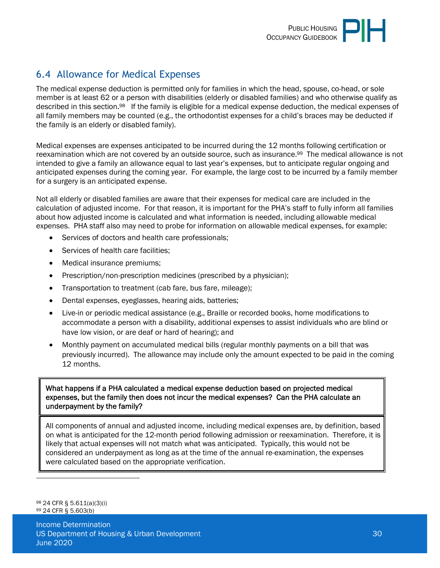# <span id="page-29-0"></span>6.4 Allowance for Medical Expenses

The medical expense deduction is permitted only for families in which the head, spouse, co-head, or sole member is at least 62 or a person with disabilities (elderly or disabled families) and who otherwise qualify as described in this section.98 If the family is eligible for a medical expense deduction, the medical expenses of all family members may be counted (e.g., the orthodontist expenses for a child's braces may be deducted if the family is an elderly or disabled family).

Medical expenses are expenses anticipated to be incurred during the 12 months following certification or reexamination which are not covered by an outside source, such as insurance.99 The medical allowance is not intended to give a family an allowance equal to last year's expenses, but to anticipate regular ongoing and anticipated expenses during the coming year. For example, the large cost to be incurred by a family member for a surgery is an anticipated expense.

Not all elderly or disabled families are aware that their expenses for medical care are included in the calculation of adjusted income. For that reason, it is important for the PHA's staff to fully inform all families about how adjusted income is calculated and what information is needed, including allowable medical expenses. PHA staff also may need to probe for information on allowable medical expenses, for example:

- Services of doctors and health care professionals;
- Services of health care facilities:
- Medical insurance premiums;
- Prescription/non-prescription medicines (prescribed by a physician);
- Transportation to treatment (cab fare, bus fare, mileage);
- Dental expenses, eyeglasses, hearing aids, batteries;
- Live-in or periodic medical assistance (e.g., Braille or recorded books, home modifications to accommodate a person with a disability, additional expenses to assist individuals who are blind or have low vision, or are deaf or hard of hearing); and
- Monthly payment on accumulated medical bills (regular monthly payments on a bill that was previously incurred). The allowance may include only the amount expected to be paid in the coming 12 months.

What happens if a PHA calculated a medical expense deduction based on projected medical expenses, but the family then does not incur the medical expenses? Can the PHA calculate an underpayment by the family?

All components of annual and adjusted income, including medical expenses are, by definition, based on what is anticipated for the 12-month period following admission or reexamination. Therefore, it is likely that actual expenses will not match what was anticipated. Typically, this would not be considered an underpayment as long as at the time of the annual re-examination, the expenses were calculated based on the appropriate verification.

<sup>98</sup> 24 CFR § 5.611(a)(3)(i) <sup>99</sup> 24 CFR § 5.603(b)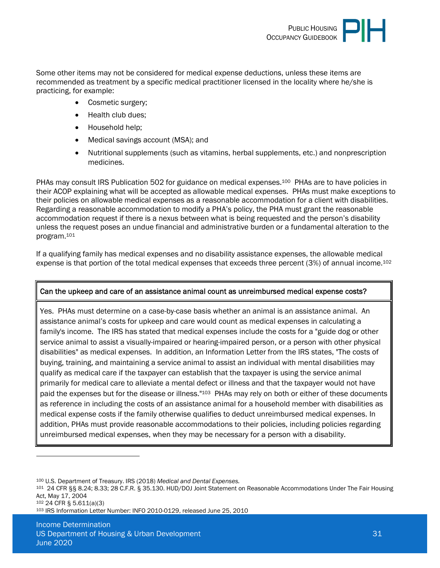

Some other items may not be considered for medical expense deductions, unless these items are recommended as treatment by a specific medical practitioner licensed in the locality where he/she is practicing, for example:

- Cosmetic surgery;
- Health club dues:
- Household help;
- Medical savings account (MSA); and
- Nutritional supplements (such as vitamins, herbal supplements, etc.) and nonprescription medicines.

PHAs may consult IRS Publication 502 for guidance on medical expenses.<sup>100</sup> PHAs are to have policies in their ACOP explaining what will be accepted as allowable medical expenses. PHAs must make exceptions to their policies on allowable medical expenses as a reasonable accommodation for a client with disabilities. Regarding a reasonable accommodation to modify a PHA's policy, the PHA must grant the reasonable accommodation request if there is a nexus between what is being requested and the person's disability unless the request poses an undue financial and administrative burden or a fundamental alteration to the program.<sup>101</sup>

If a qualifying family has medical expenses and no disability assistance expenses, the allowable medical expense is that portion of the total medical expenses that exceeds three percent (3%) of annual income.<sup>102</sup>

#### Can the upkeep and care of an assistance animal count as unreimbursed medical expense costs?

Yes. PHAs must determine on a case-by-case basis whether an animal is an assistance animal. An assistance animal's costs for upkeep and care would count as medical expenses in calculating a family's income. The IRS has stated that medical expenses include the costs for a "guide dog or other service animal to assist a visually-impaired or hearing-impaired person, or a person with other physical disabilities" as medical expenses. In addition, an Information Letter from the IRS states, "The costs of buying, training, and maintaining a service animal to assist an individual with mental disabilities may qualify as medical care if the taxpayer can establish that the taxpayer is using the service animal primarily for medical care to alleviate a mental defect or illness and that the taxpayer would not have paid the expenses but for the disease or illness."<sup>103</sup> PHAs may rely on both or either of these documents as reference in including the costs of an assistance animal for a household member with disabilities as medical expense costs if the family otherwise qualifies to deduct unreimbursed medical expenses. In addition, PHAs must provide reasonable accommodations to their policies, including policies regarding unreimbursed medical expenses, when they may be necessary for a person with a disability.

<sup>100</sup> U.S. Department of Treasury. IRS (2018) *Medical and Dental Expenses.*

<sup>102</sup> 24 CFR § 5.611(a)(3)

<sup>101</sup> 24 CFR §§ 8.24; 8.33; 28 C.F.R. § 35.130. HUD/DOJ Joint Statement on Reasonable Accommodations Under The Fair Housing Act, May 17, 2004

<sup>103</sup> IRS Information Letter Number: INFO 2010-0129, released June 25, 2010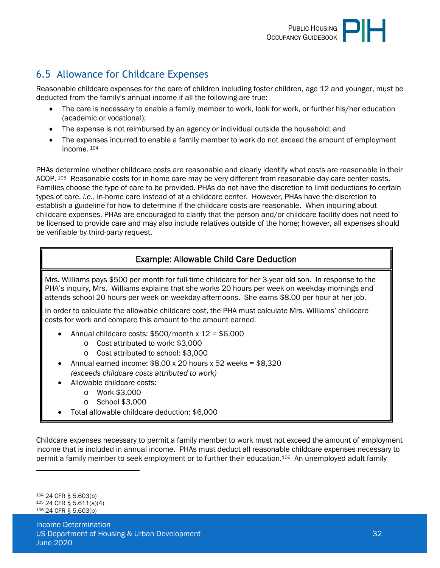

# <span id="page-31-0"></span>6.5 Allowance for Childcare Expenses

Reasonable childcare expenses for the care of children including foster children, age 12 and younger, must be deducted from the family's annual income if all the following are true:

- The care is necessary to enable a family member to work, look for work, or further his/her education (academic or vocational);
- The expense is not reimbursed by an agency or individual outside the household; and
- The expenses incurred to enable a family member to work do not exceed the amount of employment income.<sup>104</sup>

PHAs determine whether childcare costs are reasonable and clearly identify what costs are reasonable in their ACOP. 105 Reasonable costs for in-home care may be very different from reasonable day-care center costs. Families choose the type of care to be provided. PHAs do not have the discretion to limit deductions to certain types of care, *i.e.*, in-home care instead of at a childcare center. However, PHAs have the discretion to establish a guideline for how to determine if the childcare costs are reasonable. When inquiring about childcare expenses, PHAs are encouraged to clarify that the person and/or childcare facility does not need to be licensed to provide care and may also include relatives outside of the home; however, all expenses should be verifiable by third-party request.

## Example: Allowable Child Care Deduction

Mrs. Williams pays \$500 per month for full-time childcare for her 3-year old son. In response to the PHA's inquiry, Mrs. Williams explains that she works 20 hours per week on weekday mornings and attends school 20 hours per week on weekday afternoons. She earns \$8.00 per hour at her job.

In order to calculate the allowable childcare cost, the PHA must calculate Mrs. Williams' childcare costs for work and compare this amount to the amount earned.

- Annual childcare costs:  $$500/m$ onth x  $12 = $6,000$ 
	- o Cost attributed to work: \$3,000
	- o Cost attributed to school: \$3,000
- Annual earned income: \$8.00 x 20 hours x 52 weeks = \$8,320 *(exceeds childcare costs attributed to work)*
- Allowable childcare costs:
	- o Work \$3,000
	- o School \$3,000
- Total allowable childcare deduction: \$6,000

Childcare expenses necessary to permit a family member to work must not exceed the amount of employment income that is included in annual income. PHAs must deduct all reasonable childcare expenses necessary to permit a family member to seek employment or to further their education.106 An unemployed adult family

<sup>104</sup> 24 CFR § 5.603(b) <sup>105</sup> 24 CFR § 5.611(a)(4) 106 24 CFR § 5.603(b)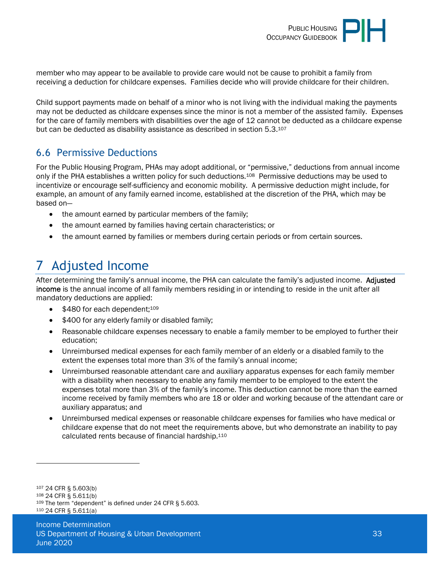

member who may appear to be available to provide care would not be cause to prohibit a family from receiving a deduction for childcare expenses. Families decide who will provide childcare for their children.

Child support payments made on behalf of a minor who is not living with the individual making the payments may not be deducted as childcare expenses since the minor is not a member of the assisted family. Expenses for the care of family members with disabilities over the age of 12 cannot be deducted as a childcare expense but can be deducted as disability assistance as described in section 5.3.<sup>107</sup>

## <span id="page-32-0"></span>6.6 Permissive Deductions

For the Public Housing Program, PHAs may adopt additional, or "permissive," deductions from annual income only if the PHA establishes a written policy for such deductions.108 Permissive deductions may be used to incentivize or encourage self-sufficiency and economic mobility. A permissive deduction might include, for example, an amount of any family earned income, established at the discretion of the PHA, which may be based on—

- the amount earned by particular members of the family;
- the amount earned by families having certain characteristics; or
- the amount earned by families or members during certain periods or from certain sources.

# <span id="page-32-1"></span>7 Adjusted Income

After determining the family's annual income, the PHA can calculate the family's adjusted income. Adjusted income is the annual income of all family members residing in or intending to reside in the unit after all mandatory deductions are applied:

- $\bullet$  \$480 for each dependent:109
- \$400 for any elderly family or disabled family;
- Reasonable childcare expenses necessary to enable a family member to be employed to further their education;
- Unreimbursed medical expenses for each family member of an elderly or a disabled family to the extent the expenses total more than 3% of the family's annual income;
- Unreimbursed reasonable attendant care and auxiliary apparatus expenses for each family member with a disability when necessary to enable any family member to be employed to the extent the expenses total more than 3% of the family's income. This deduction cannot be more than the earned income received by family members who are 18 or older and working because of the attendant care or auxiliary apparatus; and
- Unreimbursed medical expenses or reasonable childcare expenses for families who have medical or childcare expense that do not meet the requirements above, but who demonstrate an inability to pay calculated rents because of financial hardship.<sup>110</sup>

 24 CFR § 5.603(b) 24 CFR § 5.611(b) The term "dependent" is defined under 24 CFR § 5.603. [24 C](https://hudgov-my.sharepoint.com/personal/kymian_d_ray_hud_gov/Documents/24)FR § 5.611(a)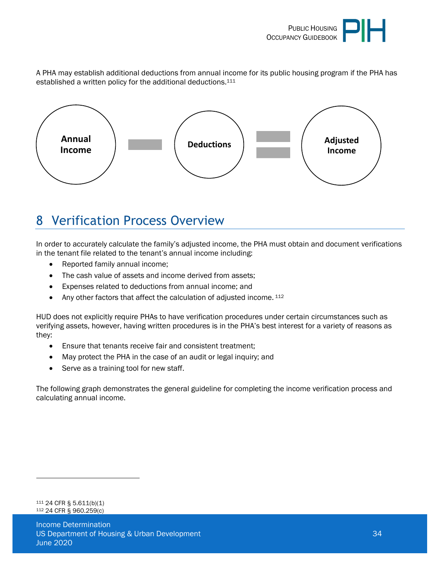

A PHA may establish additional deductions from annual income for its public housing program if the PHA has established a written policy for the additional deductions.<sup>111</sup>



# <span id="page-33-0"></span>8 Verification Process Overview

In order to accurately calculate the family's adjusted income, the PHA must obtain and document verifications in the tenant file related to the tenant's annual income including:

- Reported family annual income;
- The cash value of assets and income derived from assets;
- Expenses related to deductions from annual income; and
- Any other factors that affect the calculation of adjusted income. 112

HUD does not explicitly require PHAs to have verification procedures under certain circumstances such as verifying assets, however, having written procedures is in the PHA's best interest for a variety of reasons as they:

- Ensure that tenants receive fair and consistent treatment;
- May protect the PHA in the case of an audit or legal inquiry; and
- Serve as a training tool for new staff.

The following graph demonstrates the general guideline for completing the income verification process and calculating annual income.

<sup>111</sup> 24 CFR § 5.611(b)(1) <sup>112</sup> 24 CFR § 960.259(c)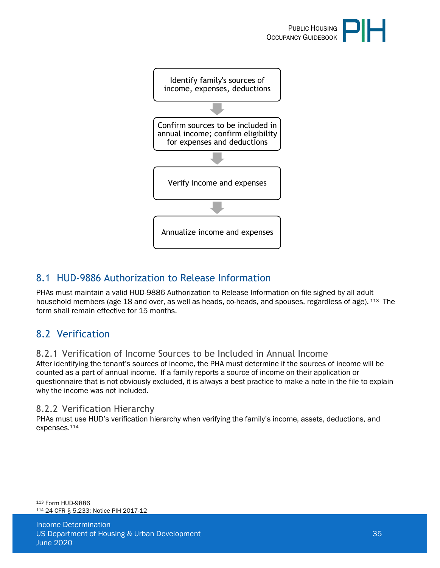



# <span id="page-34-0"></span>8.1 HUD-9886 Authorization to Release Information

PHAs must maintain a valid HUD-9886 Authorization to Release Information on file signed by all adult household members (age 18 and over, as well as heads, co-heads, and spouses, regardless of age). <sup>113</sup> The form shall remain effective for 15 months.

# <span id="page-34-1"></span>8.2 Verification

<span id="page-34-2"></span>8.2.1 Verification of Income Sources to be Included in Annual Income

After identifying the tenant's sources of income, the PHA must determine if the sources of income will be counted as a part of annual income. If a family reports a source of income on their application or questionnaire that is not obviously excluded, it is always a best practice to make a note in the file to explain why the income was not included.

#### <span id="page-34-3"></span>8.2.2 Verification Hierarchy

PHAs must use HUD's verification hierarchy when verifying the family's income, assets, deductions, and expenses.<sup>114</sup>

<sup>113</sup> Form HUD-9886 <sup>114</sup> 24 CFR § 5.233; Notice PIH 2017-12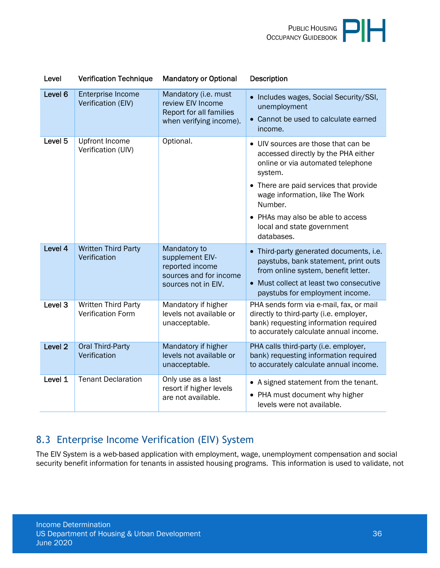

| Level              | <b>Verification Technique</b>                   | <b>Mandatory or Optional</b>                                                                        | <b>Description</b>                                                                                                                                                                                                                                                                                |
|--------------------|-------------------------------------------------|-----------------------------------------------------------------------------------------------------|---------------------------------------------------------------------------------------------------------------------------------------------------------------------------------------------------------------------------------------------------------------------------------------------------|
| Level 6            | Enterprise Income<br>Verification (EIV)         | Mandatory (i.e. must<br>review EIV Income<br>Report for all families<br>when verifying income).     | Includes wages, Social Security/SSI,<br>unemployment<br>Cannot be used to calculate earned<br>income.                                                                                                                                                                                             |
| Level <sub>5</sub> | <b>Upfront Income</b><br>Verification (UIV)     | Optional.                                                                                           | UIV sources are those that can be<br>accessed directly by the PHA either<br>online or via automated telephone<br>system.<br>• There are paid services that provide<br>wage information, like The Work<br>Number.<br>• PHAs may also be able to access<br>local and state government<br>databases. |
| Level 4            | <b>Written Third Party</b><br>Verification      | Mandatory to<br>supplement EIV-<br>reported income<br>sources and for income<br>sources not in EIV. | Third-party generated documents, i.e.<br>paystubs, bank statement, print outs<br>from online system, benefit letter.<br>Must collect at least two consecutive<br>paystubs for employment income.                                                                                                  |
| Level <sub>3</sub> | Written Third Party<br><b>Verification Form</b> | Mandatory if higher<br>levels not available or<br>unacceptable.                                     | PHA sends form via e-mail, fax, or mail<br>directly to third-party (i.e. employer,<br>bank) requesting information required<br>to accurately calculate annual income.                                                                                                                             |
| Level <sub>2</sub> | <b>Oral Third-Party</b><br>Verification         | Mandatory if higher<br>levels not available or<br>unacceptable.                                     | PHA calls third-party (i.e. employer,<br>bank) requesting information required<br>to accurately calculate annual income.                                                                                                                                                                          |
| Level 1            | <b>Tenant Declaration</b>                       | Only use as a last<br>resort if higher levels<br>are not available.                                 | • A signed statement from the tenant.<br>• PHA must document why higher<br>levels were not available.                                                                                                                                                                                             |

# <span id="page-35-0"></span>8.3 Enterprise Income Verification (EIV) System

The EIV System is a web-based application with employment, wage, unemployment compensation and social security benefit information for tenants in assisted housing programs. This information is used to validate, not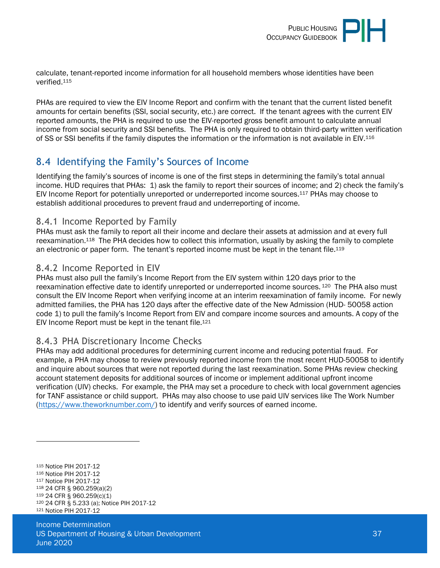

calculate, tenant-reported income information for all household members whose identities have been verified.<sup>115</sup>

PHAs are required to view the EIV Income Report and confirm with the tenant that the current listed benefit amounts for certain benefits (SSI, social security, etc.) are correct. If the tenant agrees with the current EIV reported amounts, the PHA is required to use the EIV-reported gross benefit amount to calculate annual income from social security and SSI benefits. The PHA is only required to obtain third-party written verification of SS or SSI benefits if the family disputes the information or the information is not available in EIV.<sup>116</sup>

## <span id="page-36-0"></span>8.4 Identifying the Family's Sources of Income

Identifying the family's sources of income is one of the first steps in determining the family's total annual income. HUD requires that PHAs: 1) ask the family to report their sources of income; and 2) check the family's EIV Income Report for potentially unreported or underreported income sources.117 PHAs may choose to establish additional procedures to prevent fraud and underreporting of income.

#### <span id="page-36-1"></span>8.4.1 Income Reported by Family

PHAs must ask the family to report all their income and declare their assets at admission and at every full reexamination.118 The PHA decides how to collect this information, usually by asking the family to complete an electronic or paper form. The tenant's reported income must be kept in the tenant file.<sup>119</sup>

#### <span id="page-36-2"></span>8.4.2 Income Reported in EIV

PHAs must also pull the family's Income Report from the EIV system within 120 days prior to the reexamination effective date to identify unreported or underreported income sources. 120 The PHA also must consult the EIV Income Report when verifying income at an interim reexamination of family income. For newly admitted families, the PHA has 120 days after the effective date of the New Admission (HUD- 50058 action code 1) to pull the family's Income Report from EIV and compare income sources and amounts. A copy of the EIV Income Report must be kept in the tenant file.<sup>121</sup>

#### <span id="page-36-3"></span>8.4.3 PHA Discretionary Income Checks

PHAs may add additional procedures for determining current income and reducing potential fraud. For example, a PHA may choose to review previously reported income from the most recent HUD-50058 to identify and inquire about sources that were not reported during the last reexamination. Some PHAs review checking account statement deposits for additional sources of income or implement additional upfront income verification (UIV) checks. For example, the PHA may set a procedure to check with local government agencies for TANF assistance or child support. PHAs may also choose to use paid UIV services like The Work Number [\(https://www.theworknumber.com/\)](https://www.theworknumber.com/) to identify and verify sources of earned income.

<sup>115</sup> Notice PIH 2017-12 <sup>116</sup> Notice PIH 2017-12 <sup>117</sup> Notice PIH 2017-12 <sup>118</sup> 24 CFR § 960.259(a)(2) <sup>119</sup> 24 CFR § 960.259(c)(1) <sup>120</sup> 24 CFR § 5.233 (a); Notice PIH 2017-12 121 Notice PIH 2017-12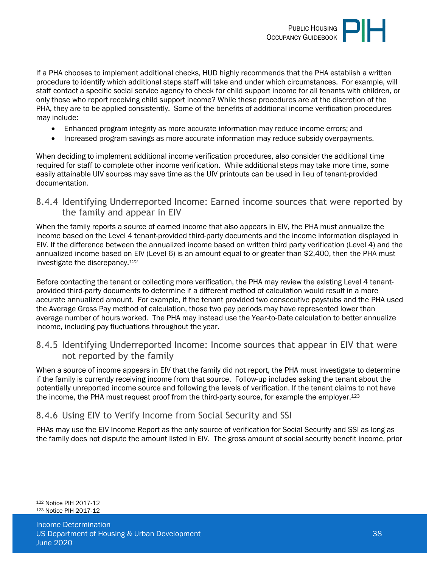

If a PHA chooses to implement additional checks, HUD highly recommends that the PHA establish a written procedure to identify which additional steps staff will take and under which circumstances. For example, will staff contact a specific social service agency to check for child support income for all tenants with children, or only those who report receiving child support income? While these procedures are at the discretion of the PHA, they are to be applied consistently. Some of the benefits of additional income verification procedures may include:

- Enhanced program integrity as more accurate information may reduce income errors; and
- Increased program savings as more accurate information may reduce subsidy overpayments.

When deciding to implement additional income verification procedures, also consider the additional time required for staff to complete other income verification. While additional steps may take more time, some easily attainable UIV sources may save time as the UIV printouts can be used in lieu of tenant-provided documentation.

<span id="page-37-0"></span>8.4.4 Identifying Underreported Income: Earned income sources that were reported by the family and appear in EIV

When the family reports a source of earned income that also appears in EIV, the PHA must annualize the income based on the Level 4 tenant-provided third-party documents and the income information displayed in EIV. If the difference between the annualized income based on written third party verification (Level 4) and the annualized income based on EIV (Level 6) is an amount equal to or greater than \$2,400, then the PHA must investigate the discrepancy.<sup>122</sup>

Before contacting the tenant or collecting more verification, the PHA may review the existing Level 4 tenantprovided third-party documents to determine if a different method of calculation would result in a more accurate annualized amount. For example, if the tenant provided two consecutive paystubs and the PHA used the Average Gross Pay method of calculation, those two pay periods may have represented lower than average number of hours worked. The PHA may instead use the Year-to-Date calculation to better annualize income, including pay fluctuations throughout the year.

<span id="page-37-1"></span>8.4.5 Identifying Underreported Income: Income sources that appear in EIV that were not reported by the family

When a source of income appears in EIV that the family did not report, the PHA must investigate to determine if the family is currently receiving income from that source. Follow-up includes asking the tenant about the potentially unreported income source and following the levels of verification. If the tenant claims to not have the income, the PHA must request proof from the third-party source, for example the employer.<sup>123</sup>

#### <span id="page-37-2"></span>8.4.6 Using EIV to Verify Income from Social Security and SSI

PHAs may use the EIV Income Report as the only source of verification for Social Security and SSI as long as the family does not dispute the amount listed in EIV. The gross amount of social security benefit income, prior

<sup>122</sup> Notice PIH 2017-12 123 Notice PIH 2017-12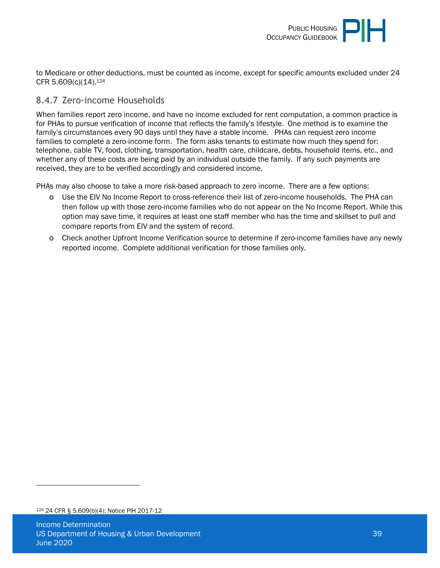

to Medicare or other deductions, must be counted as income, except for specific amounts excluded under 24 CFR 5.609(c)(14).<sup>124</sup>

#### <span id="page-38-0"></span>8.4.7 Zero-income Households

When families report zero income, and have no income excluded for rent computation, a common practice is for PHAs to pursue verification of income that reflects the family's lifestyle. One method is to examine the family's circumstances every 90 days until they have a stable income. PHAs can request zero income families to complete a zero-income form. The form asks tenants to estimate how much they spend for: telephone, cable TV, food, clothing, transportation, health care, childcare, debts, household items, etc., and whether any of these costs are being paid by an individual outside the family. If any such payments are received, they are to be verified accordingly and considered income.

PHAs may also choose to take a more risk-based approach to zero income. There are a few options:

- o Use the EIV No Income Report to cross-reference their list of zero-income households. The PHA can then follow up with those zero-income families who do not appear on the No Income Report. While this option may save time, it requires at least one staff member who has the time and skillset to pull and compare reports from EIV and the system of record.
- o Check another Upfront Income Verification source to determine if zero-income families have any newly reported income. Complete additional verification for those families only.

<sup>124</sup> 24 CFR § 5.609(b)(4); Notice PIH 2017-12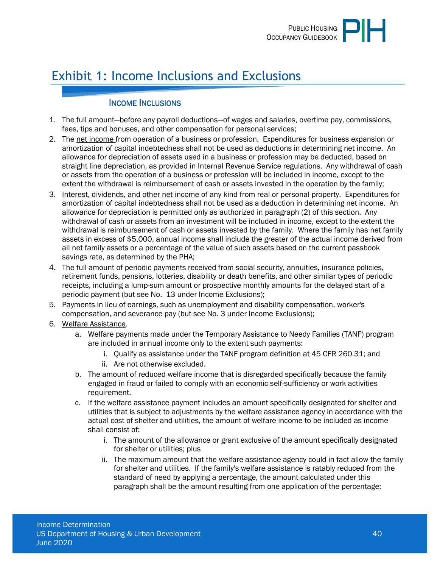

# <span id="page-39-0"></span>Exhibit 1: Income Inclusions and Exclusions

#### INCOME INCLUSIONS

- 1. The full amount—before any payroll deductions—of wages and salaries, overtime pay, commissions, fees, tips and bonuses, and other compensation for personal services;
- 2. The net income from operation of a business or profession. Expenditures for business expansion or amortization of capital indebtedness shall not be used as deductions in determining net income. An allowance for depreciation of assets used in a business or profession may be deducted, based on straight line depreciation, as provided in Internal Revenue Service regulations. Any withdrawal of cash or assets from the operation of a business or profession will be included in income, except to the extent the withdrawal is reimbursement of cash or assets invested in the operation by the family;
- 3. Interest, dividends, and other net income of any kind from real or personal property. Expenditures for amortization of capital indebtedness shall not be used as a deduction in determining net income. An allowance for depreciation is permitted only as authorized in paragraph (2) of this section. Any withdrawal of cash or assets from an investment will be included in income, except to the extent the withdrawal is reimbursement of cash or assets invested by the family. Where the family has net family assets in excess of \$5,000, annual income shall include the greater of the actual income derived from all net family assets or a percentage of the value of such assets based on the current passbook savings rate, as determined by the PHA;
- 4. The full amount of periodic payments received from social security, annuities, insurance policies, retirement funds, pensions, lotteries, disability or death benefits, and other similar types of periodic receipts, including a lump-sum amount or prospective monthly amounts for the delayed start of a periodic payment (but see No. 13 under Income Exclusions);
- 5. Payments in lieu of earnings, such as unemployment and disability compensation, worker's compensation, and severance pay (but see No. 3 under Income Exclusions);
- 6. Welfare Assistance.
	- a. Welfare payments made under the Temporary Assistance to Needy Families (TANF) program are included in annual income only to the extent such payments:
		- i. Qualify as assistance under the TANF program definition at 45 CFR 260.31; and
		- ii. Are not otherwise excluded.
	- b. The amount of reduced welfare income that is disregarded specifically because the family engaged in fraud or failed to comply with an economic self-sufficiency or work activities requirement.
	- c. If the welfare assistance payment includes an amount specifically designated for shelter and utilities that is subject to adjustments by the welfare assistance agency in accordance with the actual cost of shelter and utilities, the amount of welfare income to be included as income shall consist of:
		- i. The amount of the allowance or grant exclusive of the amount specifically designated for shelter or utilities; plus
		- ii. The maximum amount that the welfare assistance agency could in fact allow the family for shelter and utilities. If the family's welfare assistance is ratably reduced from the standard of need by applying a percentage, the amount calculated under this paragraph shall be the amount resulting from one application of the percentage;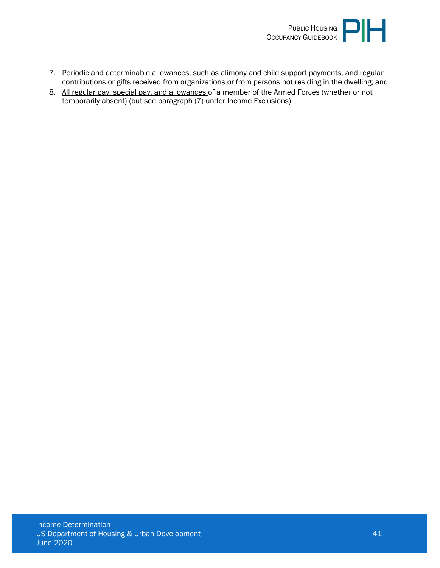

- 7. Periodic and determinable allowances, such as alimony and child support payments, and regular contributions or gifts received from organizations or from persons not residing in the dwelling; and
- 8. All regular pay, special pay, and allowances of a member of the Armed Forces (whether or not temporarily absent) (but see paragraph (7) under Income Exclusions).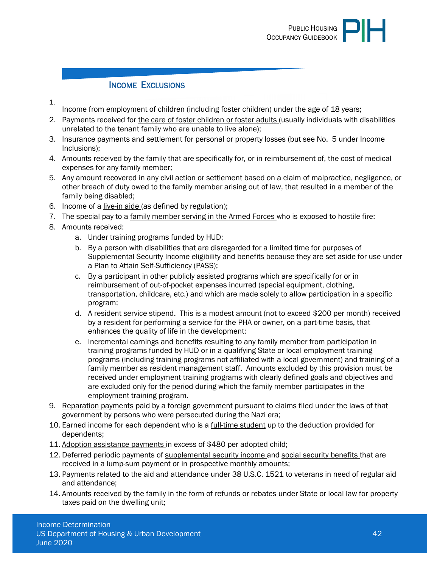#### INCOME EXCLUSIONS

- 1.
- Income from employment of children (including foster children) under the age of 18 years;
- 2. Payments received for the care of foster children or foster adults (usually individuals with disabilities unrelated to the tenant family who are unable to live alone);
- 3. Insurance payments and settlement for personal or property losses (but see No. 5 under Income Inclusions);
- 4. Amounts received by the family that are specifically for, or in reimbursement of, the cost of medical expenses for any family member;
- 5. Any amount recovered in any civil action or settlement based on a claim of malpractice, negligence, or other breach of duty owed to the family member arising out of law, that resulted in a member of the family being disabled;
- 6. Income of a live-in aide (as defined by regulation);
- 7. The special pay to a family member serving in the Armed Forces who is exposed to hostile fire;
- 8. Amounts received:
	- a. Under training programs funded by HUD;
	- b. By a person with disabilities that are disregarded for a limited time for purposes of Supplemental Security Income eligibility and benefits because they are set aside for use under a Plan to Attain Self-Sufficiency (PASS);
	- c. By a participant in other publicly assisted programs which are specifically for or in reimbursement of out-of-pocket expenses incurred (special equipment, clothing, transportation, childcare, etc.) and which are made solely to allow participation in a specific program;
	- d. A resident service stipend. This is a modest amount (not to exceed \$200 per month) received by a resident for performing a service for the PHA or owner, on a part-time basis, that enhances the quality of life in the development;
	- e. Incremental earnings and benefits resulting to any family member from participation in training programs funded by HUD or in a qualifying State or local employment training programs (including training programs not affiliated with a local government) and training of a family member as resident management staff. Amounts excluded by this provision must be received under employment training programs with clearly defined goals and objectives and are excluded only for the period during which the family member participates in the employment training program.
- 9. Reparation payments paid by a foreign government pursuant to claims filed under the laws of that government by persons who were persecuted during the Nazi era;
- 10. Earned income for each dependent who is a full-time student up to the deduction provided for dependents;
- 11. Adoption assistance payments in excess of \$480 per adopted child;
- 12. Deferred periodic payments of supplemental security income and social security benefits that are received in a lump-sum payment or in prospective monthly amounts;
- 13. Payments related to the aid and attendance under 38 U.S.C. 1521 to veterans in need of regular aid and attendance;
- 14. Amounts received by the family in the form of refunds or rebates under State or local law for property taxes paid on the dwelling unit;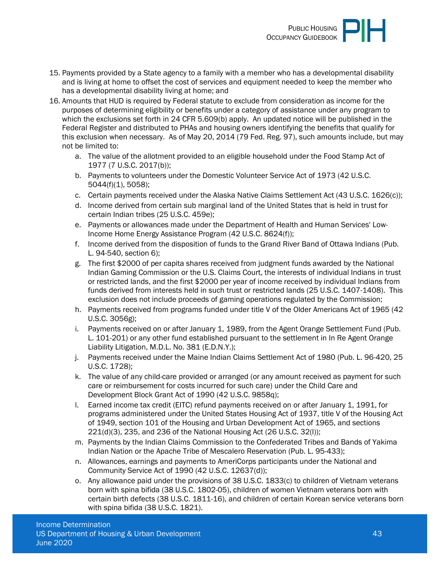

- 15. Payments provided by a State agency to a family with a member who has a developmental disability and is living at home to offset the cost of services and equipment needed to keep the member who has a developmental disability living at home; and
- 16. Amounts that HUD is required by Federal statute to exclude from consideration as income for the purposes of determining eligibility or benefits under a category of assistance under any program to which the exclusions set forth in 24 CFR 5.609(b) apply. An updated notice will be published in the Federal Register and distributed to PHAs and housing owners identifying the benefits that qualify for this exclusion when necessary. As of May 20, 2014 (79 Fed. Reg. 97), such amounts include, but may not be limited to:
	- a. The value of the allotment provided to an eligible household under the Food Stamp Act of 1977 (7 U.S.C. 2017(b));
	- b. Payments to volunteers under the Domestic Volunteer Service Act of 1973 (42 U.S.C. 5044(f)(1), 5058);
	- c. Certain payments received under the Alaska Native Claims Settlement Act (43 U.S.C. 1626(c));
	- d. Income derived from certain sub marginal land of the United States that is held in trust for certain Indian tribes (25 U.S.C. 459e);
	- e. Payments or allowances made under the Department of Health and Human Services' Low-Income Home Energy Assistance Program (42 U.S.C. 8624(f));
	- f. Income derived from the disposition of funds to the Grand River Band of Ottawa Indians (Pub. L. 94-540, section 6);
	- g. The first \$2000 of per capita shares received from judgment funds awarded by the National Indian Gaming Commission or the U.S. Claims Court, the interests of individual Indians in trust or restricted lands, and the first \$2000 per year of income received by individual Indians from funds derived from interests held in such trust or restricted lands (25 U.S.C. 1407-1408). This exclusion does not include proceeds of gaming operations regulated by the Commission;
	- h. Payments received from programs funded under title V of the Older Americans Act of 1965 (42 U.S.C. 3056g);
	- i. Payments received on or after January 1, 1989, from the Agent Orange Settlement Fund (Pub. L. 101-201) or any other fund established pursuant to the settlement in In Re Agent Orange Liability Litigation, M.D.L. No. 381 (E.D.N.Y.);
	- j. Payments received under the Maine Indian Claims Settlement Act of 1980 (Pub. L. 96-420, 25 U.S.C. 1728);
	- k. The value of any child-care provided or arranged (or any amount received as payment for such care or reimbursement for costs incurred for such care) under the Child Care and Development Block Grant Act of 1990 (42 U.S.C. 9858q);
	- l. Earned income tax credit (EITC) refund payments received on or after January 1, 1991, for programs administered under the United States Housing Act of 1937, title V of the Housing Act of 1949, section 101 of the Housing and Urban Development Act of 1965, and sections 221(d)(3), 235, and 236 of the National Housing Act (26 U.S.C. 32(l));
	- m. Payments by the Indian Claims Commission to the Confederated Tribes and Bands of Yakima Indian Nation or the Apache Tribe of Mescalero Reservation (Pub. L. 95-433);
	- n. Allowances, earnings and payments to AmeriCorps participants under the National and Community Service Act of 1990 (42 U.S.C. 12637(d));
	- o. Any allowance paid under the provisions of 38 U.S.C. 1833(c) to children of Vietnam veterans born with spina bifida (38 U.S.C. 1802-05), children of women Vietnam veterans born with certain birth defects (38 U.S.C. 1811-16), and children of certain Korean service veterans born with spina bifida (38 U.S.C. 1821).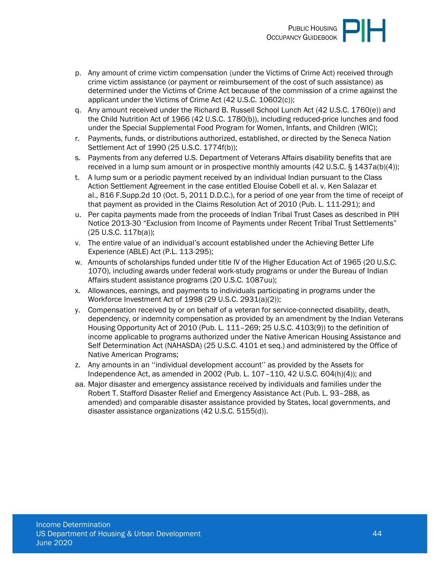- p. Any amount of crime victim compensation (under the Victims of Crime Act) received through crime victim assistance (or payment or reimbursement of the cost of such assistance) as determined under the Victims of Crime Act because of the commission of a crime against the applicant under the Victims of Crime Act (42 U.S.C. 10602(c));
- q. Any amount received under the Richard B. Russell School Lunch Act (42 U.S.C. 1760(e)) and the Child Nutrition Act of 1966 (42 U.S.C. 1780(b)), including reduced-price lunches and food under the Special Supplemental Food Program for Women, Infants, and Children (WIC);
- r. Payments, funds, or distributions authorized, established, or directed by the Seneca Nation Settlement Act of 1990 (25 U.S.C. 1774f(b));
- s. Payments from any deferred U.S. Department of Veterans Affairs disability benefits that are received in a lump sum amount or in prospective monthly amounts (42 U.S.C. § 1437a(b)(4));
- t. A lump sum or a periodic payment received by an individual Indian pursuant to the Class Action Settlement Agreement in the case entitled Elouise Cobell et al. v. Ken Salazar et al., 816 F.Supp.2d 10 (Oct. 5, 2011 D.D.C.), for a period of one year from the time of receipt of that payment as provided in the Claims Resolution Act of 2010 (Pub. L. 111-291); and
- u. Per capita payments made from the proceeds of Indian Tribal Trust Cases as described in PIH Notice 2013-30 "Exclusion from Income of Payments under Recent Tribal Trust Settlements" (25 U.S.C. 117b(a));
- v. The entire value of an individual's account established under the Achieving Better Life Experience (ABLE) Act (P.L. 113-295);
- w. Amounts of scholarships funded under title IV of the Higher Education Act of 1965 (20 U.S.C. 1070), including awards under federal work-study programs or under the Bureau of Indian Affairs student assistance programs (20 U.S.C. 1087uu);
- x. Allowances, earnings, and payments to individuals participating in programs under the Workforce Investment Act of 1998 (29 U.S.C. 2931(a)(2));
- y. Compensation received by or on behalf of a veteran for service-connected disability, death, dependency, or indemnity compensation as provided by an amendment by the Indian Veterans Housing Opportunity Act of 2010 (Pub. L. 111–269; 25 U.S.C. 4103(9)) to the definition of income applicable to programs authorized under the Native American Housing Assistance and Self Determination Act (NAHASDA) (25 U.S.C. 4101 et seq.) and administered by the Office of Native American Programs;
- z. Any amounts in an ''individual development account'' as provided by the Assets for Independence Act, as amended in 2002 (Pub. L. 107–110, 42 U.S.C. 604(h)(4)); and
- aa. Major disaster and emergency assistance received by individuals and families under the Robert T. Stafford Disaster Relief and Emergency Assistance Act (Pub. L. 93–288, as amended) and comparable disaster assistance provided by States, local governments, and disaster assistance organizations (42 U.S.C. 5155(d)).